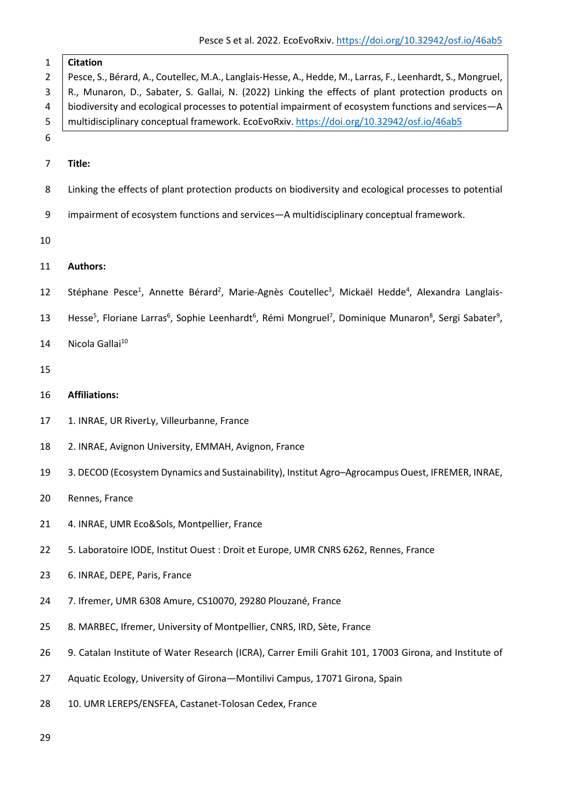| $\mathbf{1}$<br>$\overline{2}$<br>3<br>$\overline{4}$<br>5<br>6 | <b>Citation</b><br>Pesce, S., Bérard, A., Coutellec, M.A., Langlais-Hesse, A., Hedde, M., Larras, F., Leenhardt, S., Mongruel,<br>R., Munaron, D., Sabater, S. Gallai, N. (2022) Linking the effects of plant protection products on<br>biodiversity and ecological processes to potential impairment of ecosystem functions and services-A<br>multidisciplinary conceptual framework. EcoEvoRxiv. https://doi.org/10.32942/osf.io/46ab5 |
|-----------------------------------------------------------------|------------------------------------------------------------------------------------------------------------------------------------------------------------------------------------------------------------------------------------------------------------------------------------------------------------------------------------------------------------------------------------------------------------------------------------------|
| $\overline{7}$                                                  | Title:                                                                                                                                                                                                                                                                                                                                                                                                                                   |
| 8                                                               | Linking the effects of plant protection products on biodiversity and ecological processes to potential                                                                                                                                                                                                                                                                                                                                   |
| 9                                                               | impairment of ecosystem functions and services-A multidisciplinary conceptual framework.                                                                                                                                                                                                                                                                                                                                                 |
| 10                                                              |                                                                                                                                                                                                                                                                                                                                                                                                                                          |
| 11                                                              | <b>Authors:</b>                                                                                                                                                                                                                                                                                                                                                                                                                          |
| 12                                                              | Stéphane Pesce <sup>1</sup> , Annette Bérard <sup>2</sup> , Marie-Agnès Coutellec <sup>3</sup> , Mickaël Hedde <sup>4</sup> , Alexandra Langlais-                                                                                                                                                                                                                                                                                        |
| 13                                                              | Hesse <sup>5</sup> , Floriane Larras <sup>6</sup> , Sophie Leenhardt <sup>6</sup> , Rémi Mongruel <sup>7</sup> , Dominique Munaron <sup>8</sup> , Sergi Sabater <sup>9</sup> ,                                                                                                                                                                                                                                                           |
| 14                                                              | Nicola Gallai <sup>10</sup>                                                                                                                                                                                                                                                                                                                                                                                                              |
| 15                                                              |                                                                                                                                                                                                                                                                                                                                                                                                                                          |
| 16                                                              | <b>Affiliations:</b>                                                                                                                                                                                                                                                                                                                                                                                                                     |
| 17                                                              | 1. INRAE, UR RiverLy, Villeurbanne, France                                                                                                                                                                                                                                                                                                                                                                                               |
| 18                                                              | 2. INRAE, Avignon University, EMMAH, Avignon, France                                                                                                                                                                                                                                                                                                                                                                                     |
| 19                                                              | 3. DECOD (Ecosystem Dynamics and Sustainability), Institut Agro-Agrocampus Ouest, IFREMER, INRAE,                                                                                                                                                                                                                                                                                                                                        |
| 20                                                              | Rennes, France                                                                                                                                                                                                                                                                                                                                                                                                                           |
| 21                                                              | 4. INRAE, UMR Eco&Sols, Montpellier, France                                                                                                                                                                                                                                                                                                                                                                                              |
| 22                                                              | 5. Laboratoire IODE, Institut Ouest : Droit et Europe, UMR CNRS 6262, Rennes, France                                                                                                                                                                                                                                                                                                                                                     |
| 23                                                              | 6. INRAE, DEPE, Paris, France                                                                                                                                                                                                                                                                                                                                                                                                            |
| 24                                                              | 7. Ifremer, UMR 6308 Amure, CS10070, 29280 Plouzané, France                                                                                                                                                                                                                                                                                                                                                                              |
| 25                                                              | 8. MARBEC, Ifremer, University of Montpellier, CNRS, IRD, Sète, France                                                                                                                                                                                                                                                                                                                                                                   |
| 26                                                              | 9. Catalan Institute of Water Research (ICRA), Carrer Emili Grahit 101, 17003 Girona, and Institute of                                                                                                                                                                                                                                                                                                                                   |
| 27                                                              | Aquatic Ecology, University of Girona-Montilivi Campus, 17071 Girona, Spain                                                                                                                                                                                                                                                                                                                                                              |
| 28                                                              | 10. UMR LEREPS/ENSFEA, Castanet-Tolosan Cedex, France                                                                                                                                                                                                                                                                                                                                                                                    |
|                                                                 |                                                                                                                                                                                                                                                                                                                                                                                                                                          |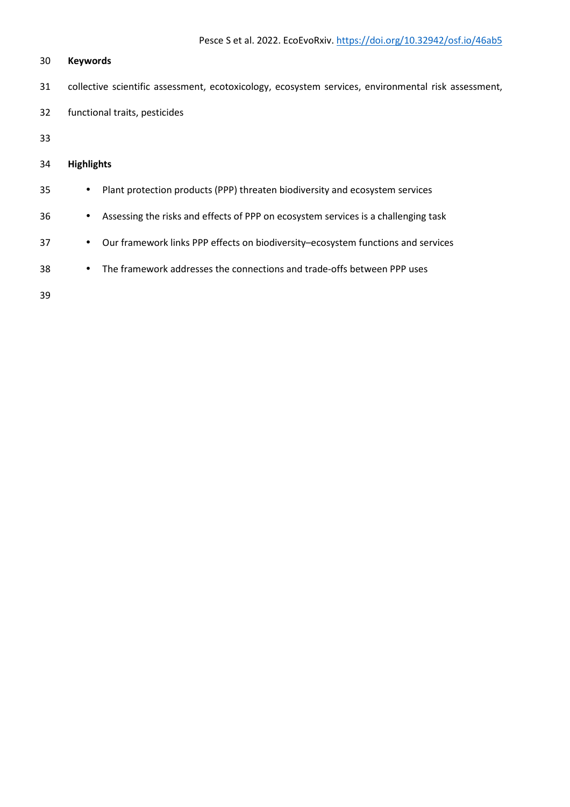# **Keywords**

- 31 collective scientific assessment, ecotoxicology, ecosystem services, environmental risk assessment,
- 32 functional traits, pesticides
- 

**Highlights** 

- Plant protection products (PPP) threaten biodiversity and ecosystem services
- Assessing the risks and effects of PPP on ecosystem services is a challenging task
- 37 Our framework links PPP effects on biodiversity–ecosystem functions and services
- The framework addresses the connections and trade-offs between PPP uses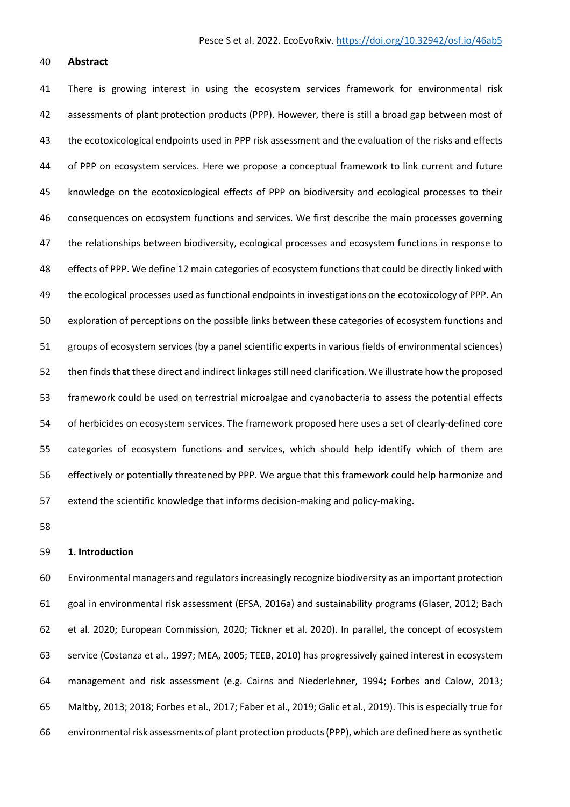#### 40 **Abstract**

41 There is growing interest in using the ecosystem services framework for environmental risk 42 assessments of plant protection products (PPP). However, there is still a broad gap between most of 43 the ecotoxicological endpoints used in PPP risk assessment and the evaluation of the risks and effects 44 of PPP on ecosystem services. Here we propose a conceptual framework to link current and future 45 knowledge on the ecotoxicological effects of PPP on biodiversity and ecological processes to their 46 consequences on ecosystem functions and services. We first describe the main processes governing 47 the relationships between biodiversity, ecological processes and ecosystem functions in response to 48 effects of PPP. We define 12 main categories of ecosystem functions that could be directly linked with 49 the ecological processes used as functional endpoints in investigations on the ecotoxicology of PPP. An 50 exploration of perceptions on the possible links between these categories of ecosystem functions and 51 groups of ecosystem services (by a panel scientific experts in various fields of environmental sciences) 52 then finds that these direct and indirect linkages still need clarification. We illustrate how the proposed 53 framework could be used on terrestrial microalgae and cyanobacteria to assess the potential effects 54 of herbicides on ecosystem services. The framework proposed here uses a set of clearly-defined core 55 categories of ecosystem functions and services, which should help identify which of them are 56 effectively or potentially threatened by PPP. We argue that this framework could help harmonize and 57 extend the scientific knowledge that informs decision-making and policy-making.

58

#### 59 **1. Introduction**

60 Environmental managers and regulators increasingly recognize biodiversity as an important protection 61 goal in environmental risk assessment (EFSA, 2016a) and sustainability programs (Glaser, 2012; Bach 62 et al. 2020; European Commission, 2020; Tickner et al. 2020). In parallel, the concept of ecosystem 63 service (Costanza et al., 1997; MEA, 2005; TEEB, 2010) has progressively gained interest in ecosystem 64 management and risk assessment (e.g. Cairns and Niederlehner, 1994; Forbes and Calow, 2013; 65 Maltby, 2013; 2018; Forbes et al., 2017; Faber et al., 2019; Galic et al., 2019). This is especially true for 66 environmental risk assessments of plant protection products (PPP), which are defined here as synthetic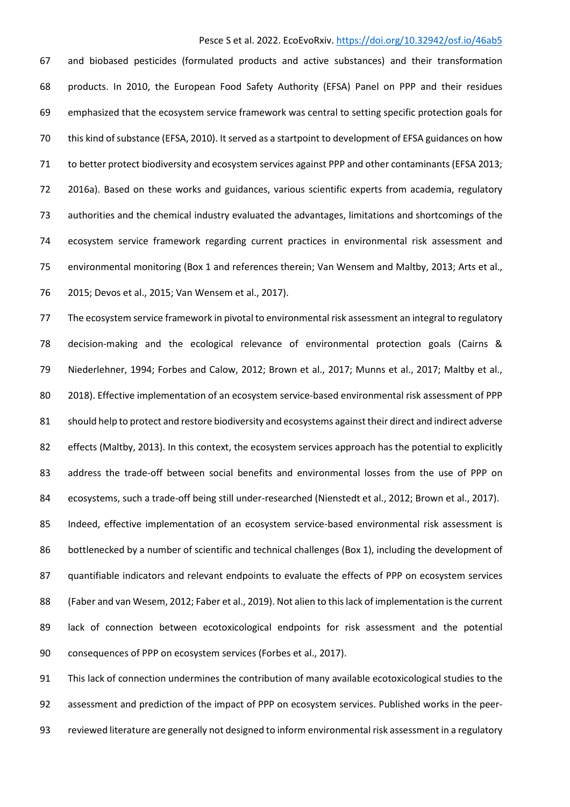67 and biobased pesticides (formulated products and active substances) and their transformation 68 products. In 2010, the European Food Safety Authority (EFSA) Panel on PPP and their residues 69 emphasized that the ecosystem service framework was central to setting specific protection goals for 70 this kind of substance (EFSA, 2010). It served as a startpoint to development of EFSA guidances on how 71 to better protect biodiversity and ecosystem services against PPP and other contaminants (EFSA 2013; 72 2016a). Based on these works and guidances, various scientific experts from academia, regulatory 73 authorities and the chemical industry evaluated the advantages, limitations and shortcomings of the 74 ecosystem service framework regarding current practices in environmental risk assessment and 75 environmental monitoring (Box 1 and references therein; Van Wensem and Maltby, 2013; Arts et al., 76 2015; Devos et al., 2015; Van Wensem et al., 2017).

77 The ecosystem service framework in pivotal to environmental risk assessment an integral to regulatory 78 decision-making and the ecological relevance of environmental protection goals (Cairns & 79 Niederlehner, 1994; Forbes and Calow, 2012; Brown et al., 2017; Munns et al., 2017; Maltby et al., 80 2018). Effective implementation of an ecosystem service-based environmental risk assessment of PPP 81 should help to protect and restore biodiversity and ecosystems against their direct and indirect adverse 82 effects (Maltby, 2013). In this context, the ecosystem services approach has the potential to explicitly 83 address the trade-off between social benefits and environmental losses from the use of PPP on 84 ecosystems, such a trade-off being still under-researched (Nienstedt et al., 2012; Brown et al., 2017). 85 Indeed, effective implementation of an ecosystem service-based environmental risk assessment is 86 bottlenecked by a number of scientific and technical challenges (Box 1), including the development of 87 quantifiable indicators and relevant endpoints to evaluate the effects of PPP on ecosystem services 88 (Faber and van Wesem, 2012; Faber et al., 2019). Not alien to this lack of implementation is the current 89 lack of connection between ecotoxicological endpoints for risk assessment and the potential 90 consequences of PPP on ecosystem services (Forbes et al., 2017).

91 This lack of connection undermines the contribution of many available ecotoxicological studies to the 92 assessment and prediction of the impact of PPP on ecosystem services. Published works in the peer-93 reviewed literature are generally not designed to inform environmental risk assessment in a regulatory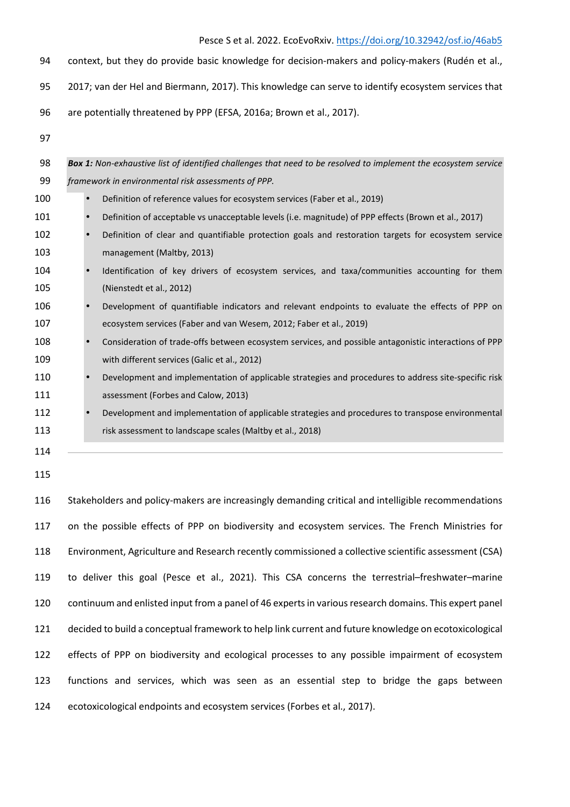- 94 context, but they do provide basic knowledge for decision-makers and policy-makers (Rudén et al., 95 2017; van der Hel and Biermann, 2017). This knowledge can serve to identify ecosystem services that 96 are potentially threatened by PPP (EFSA, 2016a; Brown et al., 2017).
- 97

| 98  |                                                     |           | Box 1: Non-exhaustive list of identified challenges that need to be resolved to implement the ecosystem service |  |
|-----|-----------------------------------------------------|-----------|-----------------------------------------------------------------------------------------------------------------|--|
| 99  | framework in environmental risk assessments of PPP. |           |                                                                                                                 |  |
| 100 |                                                     | $\bullet$ | Definition of reference values for ecosystem services (Faber et al., 2019)                                      |  |
| 101 |                                                     |           | Definition of acceptable vs unacceptable levels (i.e. magnitude) of PPP effects (Brown et al., 2017)            |  |
| 102 |                                                     |           | Definition of clear and quantifiable protection goals and restoration targets for ecosystem service             |  |
| 103 |                                                     |           | management (Maltby, 2013)                                                                                       |  |
| 104 |                                                     |           | Identification of key drivers of ecosystem services, and taxa/communities accounting for them                   |  |
| 105 |                                                     |           | (Nienstedt et al., 2012)                                                                                        |  |
| 106 |                                                     |           | Development of quantifiable indicators and relevant endpoints to evaluate the effects of PPP on                 |  |
| 107 |                                                     |           | ecosystem services (Faber and van Wesem, 2012; Faber et al., 2019)                                              |  |
| 108 |                                                     |           | Consideration of trade-offs between ecosystem services, and possible antagonistic interactions of PPP           |  |
| 109 |                                                     |           | with different services (Galic et al., 2012)                                                                    |  |
| 110 |                                                     |           | Development and implementation of applicable strategies and procedures to address site-specific risk            |  |
| 111 |                                                     |           | assessment (Forbes and Calow, 2013)                                                                             |  |
| 112 |                                                     |           | Development and implementation of applicable strategies and procedures to transpose environmental               |  |
| 113 |                                                     |           | risk assessment to landscape scales (Maltby et al., 2018)                                                       |  |
| 114 |                                                     |           |                                                                                                                 |  |
| 115 |                                                     |           |                                                                                                                 |  |
|     |                                                     |           |                                                                                                                 |  |
| 116 |                                                     |           | Stakeholders and policy-makers are increasingly demanding critical and intelligible recommendations             |  |
|     |                                                     |           |                                                                                                                 |  |

117 on the possible effects of PPP on biodiversity and ecosystem services. The French Ministries for 118 Environment, Agriculture and Research recently commissioned a collective scientific assessment (CSA) 119 to deliver this goal (Pesce et al., 2021). This CSA concerns the terrestrial–freshwater–marine 120 continuum and enlisted input from a panel of 46 experts in various research domains. This expert panel 121 decided to build a conceptual framework to help link current and future knowledge on ecotoxicological 122 effects of PPP on biodiversity and ecological processes to any possible impairment of ecosystem 123 functions and services, which was seen as an essential step to bridge the gaps between 124 ecotoxicological endpoints and ecosystem services (Forbes et al., 2017).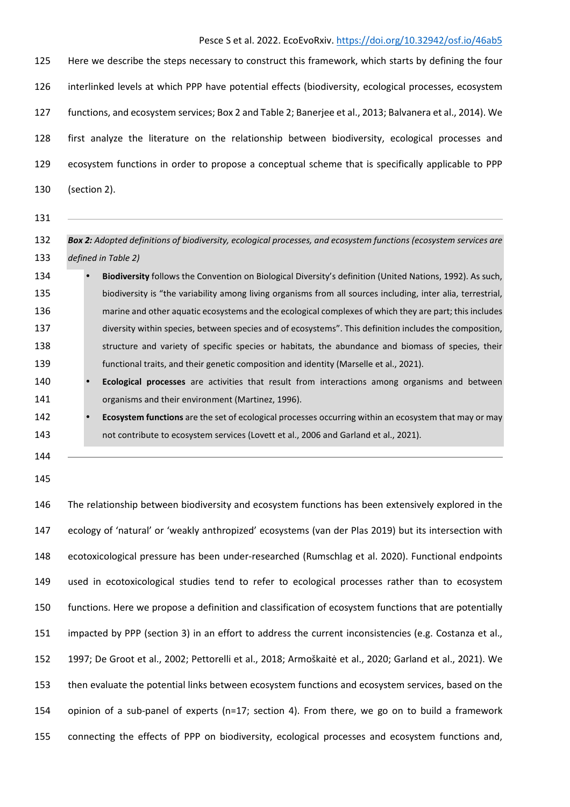125 Here we describe the steps necessary to construct this framework, which starts by defining the four 126 interlinked levels at which PPP have potential effects (biodiversity, ecological processes, ecosystem 127 functions, and ecosystem services; Box 2 and Table 2; Banerjee et al., 2013; Balvanera et al., 2014). We 128 first analyze the literature on the relationship between biodiversity, ecological processes and 129 ecosystem functions in order to propose a conceptual scheme that is specifically applicable to PPP 130 (section 2).

131

*Box 2: Adopted definitions of biodiversity, ecological processes, and ecosystem functions (ecosystem services are defined in Table 2)* • **Biodiversity** follows the Convention on Biological Diversity's definition (United Nations, 1992). As such, biodiversity is "the variability among living organisms from all sources including, inter alia, terrestrial, marine and other aquatic ecosystems and the ecological complexes of which they are part; this includes diversity within species, between species and of ecosystems". This definition includes the composition, 138 structure and variety of specific species or habitats, the abundance and biomass of species, their functional traits, and their genetic composition and identity (Marselle et al., 2021).

140 • **Ecological processes** are activities that result from interactions among organisms and between 141 organisms and their environment (Martinez, 1996).

142 • **Ecosystem functions** are the set of ecological processes occurring within an ecosystem that may or may 143 not contribute to ecosystem services (Lovett et al., 2006 and Garland et al., 2021).

144

145

146 The relationship between biodiversity and ecosystem functions has been extensively explored in the 147 ecology of 'natural' or 'weakly anthropized' ecosystems (van der Plas 2019) but its intersection with 148 ecotoxicological pressure has been under-researched (Rumschlag et al. 2020). Functional endpoints 149 used in ecotoxicological studies tend to refer to ecological processes rather than to ecosystem 150 functions. Here we propose a definition and classification of ecosystem functions that are potentially 151 impacted by PPP (section 3) in an effort to address the current inconsistencies (e.g. Costanza et al., 152 1997; De Groot et al., 2002; Pettorelli et al., 2018; Armoškaitė et al., 2020; Garland et al., 2021). We 153 then evaluate the potential links between ecosystem functions and ecosystem services, based on the 154 opinion of a sub-panel of experts (n=17; section 4). From there, we go on to build a framework 155 connecting the effects of PPP on biodiversity, ecological processes and ecosystem functions and,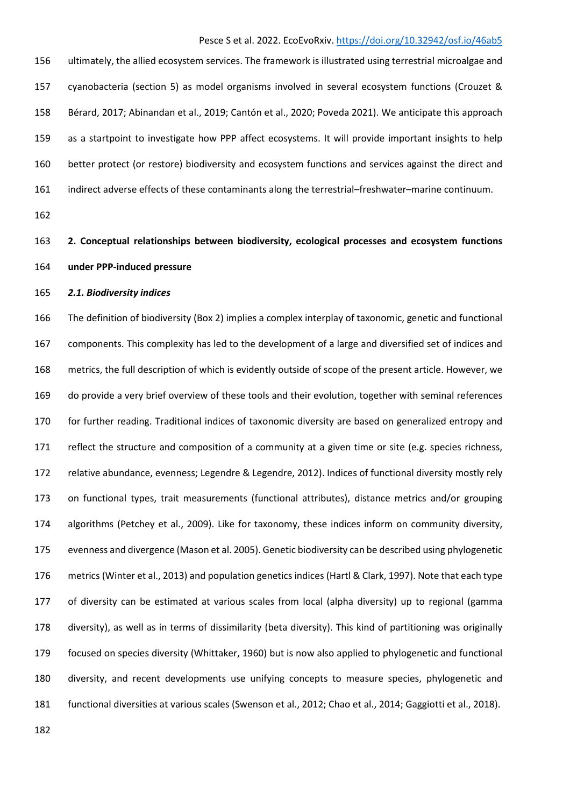156 ultimately, the allied ecosystem services. The framework is illustrated using terrestrial microalgae and 157 cyanobacteria (section 5) as model organisms involved in several ecosystem functions (Crouzet & 158 Bérard, 2017; Abinandan et al., 2019; Cantón et al., 2020; Poveda 2021). We anticipate this approach 159 as a startpoint to investigate how PPP affect ecosystems. It will provide important insights to help 160 better protect (or restore) biodiversity and ecosystem functions and services against the direct and 161 indirect adverse effects of these contaminants along the terrestrial–freshwater–marine continuum.

162

163 **2. Conceptual relationships between biodiversity, ecological processes and ecosystem functions**  164 **under PPP-induced pressure** 

#### 165 *2.1. Biodiversity indices*

166 The definition of biodiversity (Box 2) implies a complex interplay of taxonomic, genetic and functional 167 components. This complexity has led to the development of a large and diversified set of indices and 168 metrics, the full description of which is evidently outside of scope of the present article. However, we 169 do provide a very brief overview of these tools and their evolution, together with seminal references 170 for further reading. Traditional indices of taxonomic diversity are based on generalized entropy and 171 reflect the structure and composition of a community at a given time or site (e.g. species richness, 172 relative abundance, evenness; Legendre & Legendre, 2012). Indices of functional diversity mostly rely 173 on functional types, trait measurements (functional attributes), distance metrics and/or grouping 174 algorithms (Petchey et al., 2009). Like for taxonomy, these indices inform on community diversity, 175 evenness and divergence (Mason et al. 2005). Genetic biodiversity can be described using phylogenetic 176 metrics (Winter et al., 2013) and population genetics indices (Hartl & Clark, 1997). Note that each type 177 of diversity can be estimated at various scales from local (alpha diversity) up to regional (gamma 178 diversity), as well as in terms of dissimilarity (beta diversity). This kind of partitioning was originally 179 focused on species diversity (Whittaker, 1960) but is now also applied to phylogenetic and functional 180 diversity, and recent developments use unifying concepts to measure species, phylogenetic and 181 functional diversities at various scales (Swenson et al., 2012; Chao et al., 2014; Gaggiotti et al., 2018).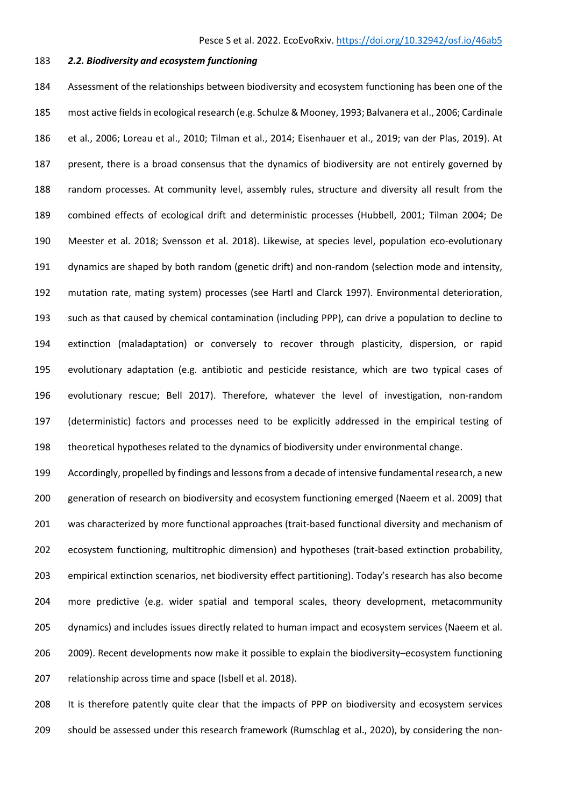#### 183 *2.2. Biodiversity and ecosystem functioning*

184 Assessment of the relationships between biodiversity and ecosystem functioning has been one of the 185 most active fields in ecological research (e.g. Schulze & Mooney, 1993; Balvanera et al., 2006; Cardinale 186 et al., 2006; Loreau et al., 2010; Tilman et al., 2014; Eisenhauer et al., 2019; van der Plas, 2019). At 187 present, there is a broad consensus that the dynamics of biodiversity are not entirely governed by 188 random processes. At community level, assembly rules, structure and diversity all result from the 189 combined effects of ecological drift and deterministic processes (Hubbell, 2001; Tilman 2004; De 190 Meester et al. 2018; Svensson et al. 2018). Likewise, at species level, population eco-evolutionary 191 dynamics are shaped by both random (genetic drift) and non-random (selection mode and intensity, 192 mutation rate, mating system) processes (see Hartl and Clarck 1997). Environmental deterioration, 193 such as that caused by chemical contamination (including PPP), can drive a population to decline to 194 extinction (maladaptation) or conversely to recover through plasticity, dispersion, or rapid 195 evolutionary adaptation (e.g. antibiotic and pesticide resistance, which are two typical cases of 196 evolutionary rescue; Bell 2017). Therefore, whatever the level of investigation, non-random 197 (deterministic) factors and processes need to be explicitly addressed in the empirical testing of 198 theoretical hypotheses related to the dynamics of biodiversity under environmental change.

199 Accordingly, propelled by findings and lessons from a decade of intensive fundamental research, a new 200 generation of research on biodiversity and ecosystem functioning emerged (Naeem et al. 2009) that 201 was characterized by more functional approaches (trait-based functional diversity and mechanism of 202 ecosystem functioning, multitrophic dimension) and hypotheses (trait-based extinction probability, 203 empirical extinction scenarios, net biodiversity effect partitioning). Today's research has also become 204 more predictive (e.g. wider spatial and temporal scales, theory development, metacommunity 205 dynamics) and includes issues directly related to human impact and ecosystem services (Naeem et al. 206 2009). Recent developments now make it possible to explain the biodiversity–ecosystem functioning 207 relationship across time and space (Isbell et al. 2018).

208 It is therefore patently quite clear that the impacts of PPP on biodiversity and ecosystem services 209 should be assessed under this research framework (Rumschlag et al., 2020), by considering the non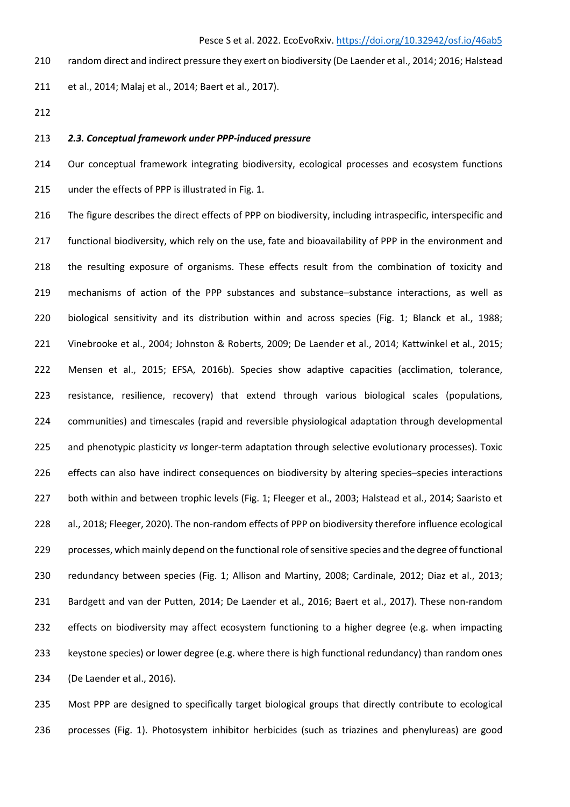210 random direct and indirect pressure they exert on biodiversity (De Laender et al., 2014; 2016; Halstead

211 et al., 2014; Malaj et al., 2014; Baert et al., 2017).

212

#### 213 *2.3. Conceptual framework under PPP-induced pressure*

214 Our conceptual framework integrating biodiversity, ecological processes and ecosystem functions 215 under the effects of PPP is illustrated in Fig. 1.

216 The figure describes the direct effects of PPP on biodiversity, including intraspecific, interspecific and 217 functional biodiversity, which rely on the use, fate and bioavailability of PPP in the environment and 218 the resulting exposure of organisms. These effects result from the combination of toxicity and 219 mechanisms of action of the PPP substances and substance–substance interactions, as well as 220 biological sensitivity and its distribution within and across species (Fig. 1; Blanck et al., 1988; 221 Vinebrooke et al., 2004; Johnston & Roberts, 2009; De Laender et al., 2014; Kattwinkel et al., 2015; 222 Mensen et al., 2015; EFSA, 2016b). Species show adaptive capacities (acclimation, tolerance, 223 resistance, resilience, recovery) that extend through various biological scales (populations, 224 communities) and timescales (rapid and reversible physiological adaptation through developmental 225 and phenotypic plasticity *vs* longer-term adaptation through selective evolutionary processes). Toxic 226 effects can also have indirect consequences on biodiversity by altering species–species interactions 227 both within and between trophic levels (Fig. 1; Fleeger et al., 2003; Halstead et al., 2014; Saaristo et 228 al., 2018; Fleeger, 2020). The non-random effects of PPP on biodiversity therefore influence ecological 229 processes, which mainly depend on the functional role of sensitive species and the degree of functional 230 redundancy between species (Fig. 1; Allison and Martiny, 2008; Cardinale, 2012; Diaz et al., 2013; 231 Bardgett and van der Putten, 2014; De Laender et al., 2016; Baert et al., 2017). These non-random 232 effects on biodiversity may affect ecosystem functioning to a higher degree (e.g. when impacting 233 keystone species) or lower degree (e.g. where there is high functional redundancy) than random ones 234 (De Laender et al., 2016).

235 Most PPP are designed to specifically target biological groups that directly contribute to ecological 236 processes (Fig. 1). Photosystem inhibitor herbicides (such as triazines and phenylureas) are good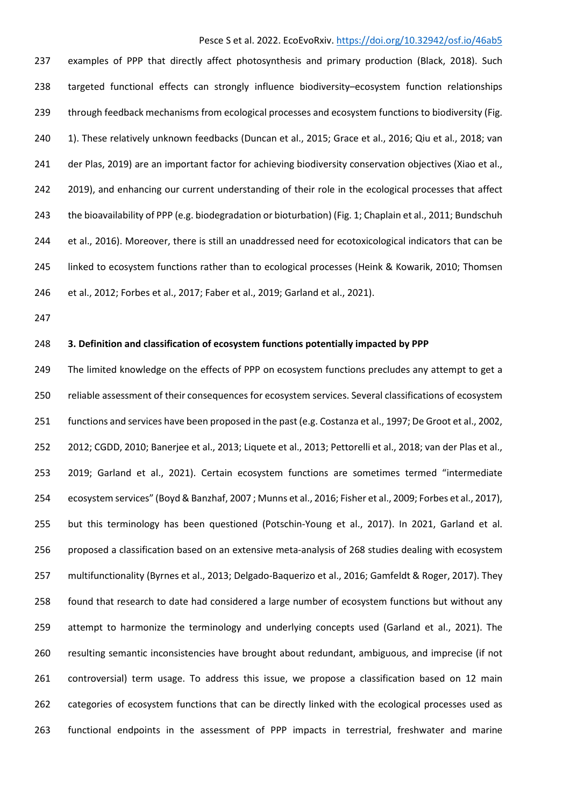237 examples of PPP that directly affect photosynthesis and primary production (Black, 2018). Such 238 targeted functional effects can strongly influence biodiversity–ecosystem function relationships 239 through feedback mechanisms from ecological processes and ecosystem functions to biodiversity (Fig. 240 1). These relatively unknown feedbacks (Duncan et al., 2015; Grace et al., 2016; Qiu et al., 2018; van 241 der Plas, 2019) are an important factor for achieving biodiversity conservation objectives (Xiao et al., 242 2019), and enhancing our current understanding of their role in the ecological processes that affect 243 the bioavailability of PPP (e.g. biodegradation or bioturbation) (Fig. 1; Chaplain et al., 2011; Bundschuh 244 et al., 2016). Moreover, there is still an unaddressed need for ecotoxicological indicators that can be 245 linked to ecosystem functions rather than to ecological processes (Heink & Kowarik, 2010; Thomsen 246 et al., 2012; Forbes et al., 2017; Faber et al., 2019; Garland et al., 2021).

247

#### 248 **3. Definition and classification of ecosystem functions potentially impacted by PPP**

249 The limited knowledge on the effects of PPP on ecosystem functions precludes any attempt to get a 250 reliable assessment of their consequences for ecosystem services. Several classifications of ecosystem 251 functions and services have been proposed in the past (e.g. Costanza et al., 1997; De Groot et al., 2002, 252 2012; CGDD, 2010; Banerjee et al., 2013; Liquete et al., 2013; Pettorelli et al., 2018; van der Plas et al., 253 2019; Garland et al., 2021). Certain ecosystem functions are sometimes termed "intermediate 254 ecosystem services" (Boyd & Banzhaf, 2007 ; Munns et al., 2016; Fisher et al., 2009; Forbes et al., 2017), 255 but this terminology has been questioned (Potschin-Young et al., 2017). In 2021, Garland et al. 256 proposed a classification based on an extensive meta-analysis of 268 studies dealing with ecosystem 257 multifunctionality (Byrnes et al., 2013; Delgado-Baquerizo et al., 2016; Gamfeldt & Roger, 2017). They 258 found that research to date had considered a large number of ecosystem functions but without any 259 attempt to harmonize the terminology and underlying concepts used (Garland et al., 2021). The 260 resulting semantic inconsistencies have brought about redundant, ambiguous, and imprecise (if not 261 controversial) term usage. To address this issue, we propose a classification based on 12 main 262 categories of ecosystem functions that can be directly linked with the ecological processes used as 263 functional endpoints in the assessment of PPP impacts in terrestrial, freshwater and marine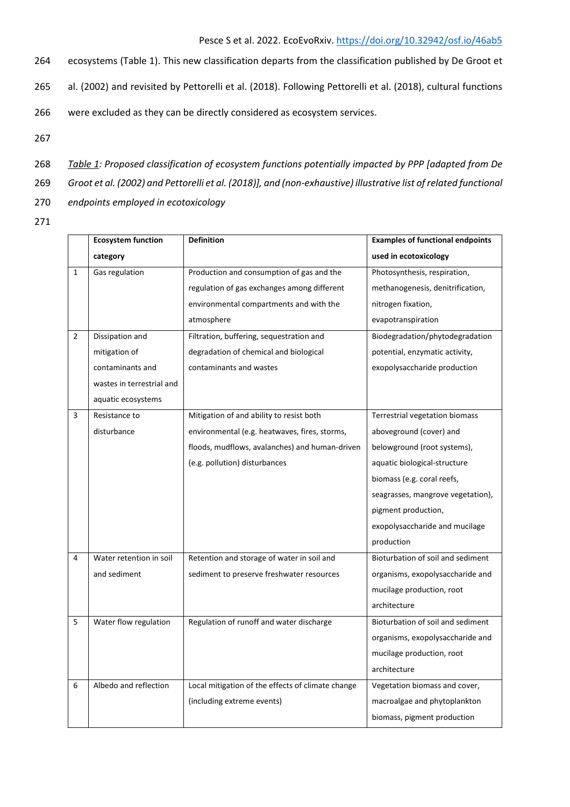- 264 ecosystems (Table 1). This new classification departs from the classification published by De Groot et 265 al. (2002) and revisited by Pettorelli et al. (2018). Following Pettorelli et al. (2018), cultural functions 266 were excluded as they can be directly considered as ecosystem services.
- 267
- 268 *Table 1: Proposed classification of ecosystem functions potentially impacted by PPP [adapted from De*  269 *Groot et al. (2002) and Pettorelli et al. (2018)], and (non-exhaustive) illustrative list of related functional*  270 *endpoints employed in ecotoxicology*
- 271

|                | <b>Ecosystem function</b> | <b>Definition</b>                                 | <b>Examples of functional endpoints</b> |  |
|----------------|---------------------------|---------------------------------------------------|-----------------------------------------|--|
|                | category                  |                                                   | used in ecotoxicology                   |  |
| $\mathbf{1}$   | Gas regulation            | Production and consumption of gas and the         | Photosynthesis, respiration,            |  |
|                |                           | regulation of gas exchanges among different       | methanogenesis, denitrification,        |  |
|                |                           | environmental compartments and with the           | nitrogen fixation,                      |  |
|                |                           | atmosphere                                        | evapotranspiration                      |  |
| $\overline{2}$ | Dissipation and           | Filtration, buffering, sequestration and          | Biodegradation/phytodegradation         |  |
|                | mitigation of             | degradation of chemical and biological            | potential, enzymatic activity,          |  |
|                | contaminants and          | contaminants and wastes                           | exopolysaccharide production            |  |
|                | wastes in terrestrial and |                                                   |                                         |  |
|                | aquatic ecosystems        |                                                   |                                         |  |
| 3              | Resistance to             | Mitigation of and ability to resist both          | Terrestrial vegetation biomass          |  |
|                | disturbance               | environmental (e.g. heatwaves, fires, storms,     | aboveground (cover) and                 |  |
|                |                           | floods, mudflows, avalanches) and human-driven    | belowground (root systems),             |  |
|                |                           | (e.g. pollution) disturbances                     | aquatic biological-structure            |  |
|                |                           |                                                   | biomass (e.g. coral reefs,              |  |
|                |                           |                                                   | seagrasses, mangrove vegetation),       |  |
|                |                           |                                                   | pigment production,                     |  |
|                |                           |                                                   | exopolysaccharide and mucilage          |  |
|                |                           |                                                   | production                              |  |
| 4              | Water retention in soil   | Retention and storage of water in soil and        | Bioturbation of soil and sediment       |  |
|                | and sediment              | sediment to preserve freshwater resources         | organisms, exopolysaccharide and        |  |
|                |                           |                                                   | mucilage production, root               |  |
|                |                           |                                                   | architecture                            |  |
| 5              | Water flow regulation     | Regulation of runoff and water discharge          | Bioturbation of soil and sediment       |  |
|                |                           |                                                   | organisms, exopolysaccharide and        |  |
|                |                           |                                                   | mucilage production, root               |  |
|                |                           |                                                   | architecture                            |  |
| 6              | Albedo and reflection     | Local mitigation of the effects of climate change | Vegetation biomass and cover,           |  |
|                |                           | (including extreme events)                        | macroalgae and phytoplankton            |  |
|                |                           |                                                   | biomass, pigment production             |  |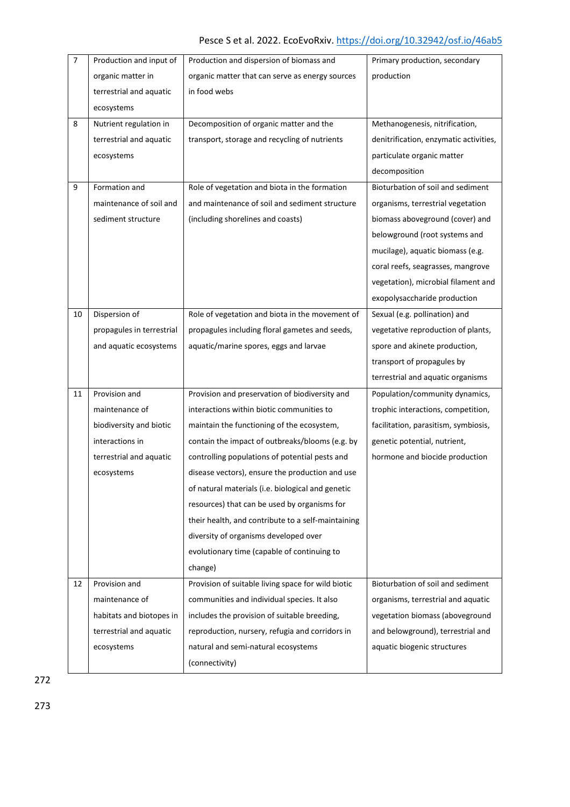| $\overline{7}$ | Production and input of   | Production and dispersion of biomass and           | Primary production, secondary          |
|----------------|---------------------------|----------------------------------------------------|----------------------------------------|
|                | organic matter in         | organic matter that can serve as energy sources    | production                             |
|                | terrestrial and aquatic   | in food webs                                       |                                        |
|                | ecosystems                |                                                    |                                        |
| 8              | Nutrient regulation in    | Decomposition of organic matter and the            | Methanogenesis, nitrification,         |
|                | terrestrial and aquatic   | transport, storage and recycling of nutrients      | denitrification, enzymatic activities, |
|                | ecosystems                |                                                    | particulate organic matter             |
|                |                           |                                                    | decomposition                          |
| 9              | Formation and             | Role of vegetation and biota in the formation      | Bioturbation of soil and sediment      |
|                | maintenance of soil and   | and maintenance of soil and sediment structure     | organisms, terrestrial vegetation      |
|                | sediment structure        | (including shorelines and coasts)                  | biomass aboveground (cover) and        |
|                |                           |                                                    | belowground (root systems and          |
|                |                           |                                                    | mucilage), aquatic biomass (e.g.       |
|                |                           |                                                    | coral reefs, seagrasses, mangrove      |
|                |                           |                                                    | vegetation), microbial filament and    |
|                |                           |                                                    | exopolysaccharide production           |
| 10             | Dispersion of             | Role of vegetation and biota in the movement of    | Sexual (e.g. pollination) and          |
|                | propagules in terrestrial | propagules including floral gametes and seeds,     | vegetative reproduction of plants,     |
|                | and aquatic ecosystems    | aquatic/marine spores, eggs and larvae             | spore and akinete production,          |
|                |                           |                                                    | transport of propagules by             |
|                |                           |                                                    | terrestrial and aquatic organisms      |
| 11             | Provision and             | Provision and preservation of biodiversity and     | Population/community dynamics,         |
|                | maintenance of            | interactions within biotic communities to          | trophic interactions, competition,     |
|                | biodiversity and biotic   | maintain the functioning of the ecosystem,         | facilitation, parasitism, symbiosis,   |
|                | interactions in           | contain the impact of outbreaks/blooms (e.g. by    | genetic potential, nutrient,           |
|                | terrestrial and aquatic   | controlling populations of potential pests and     | hormone and biocide production         |
|                | ecosystems                | disease vectors), ensure the production and use    |                                        |
|                |                           | of natural materials (i.e. biological and genetic  |                                        |
|                |                           | resources) that can be used by organisms for       |                                        |
|                |                           | their health, and contribute to a self-maintaining |                                        |
|                |                           | diversity of organisms developed over              |                                        |
|                |                           | evolutionary time (capable of continuing to        |                                        |
|                |                           | change)                                            |                                        |
| 12             | Provision and             | Provision of suitable living space for wild biotic | Bioturbation of soil and sediment      |
|                | maintenance of            | communities and individual species. It also        | organisms, terrestrial and aquatic     |
|                | habitats and biotopes in  | includes the provision of suitable breeding,       | vegetation biomass (aboveground        |
|                | terrestrial and aquatic   | reproduction, nursery, refugia and corridors in    | and belowground), terrestrial and      |
|                | ecosystems                | natural and semi-natural ecosystems                | aquatic biogenic structures            |
|                |                           | (connectivity)                                     |                                        |

272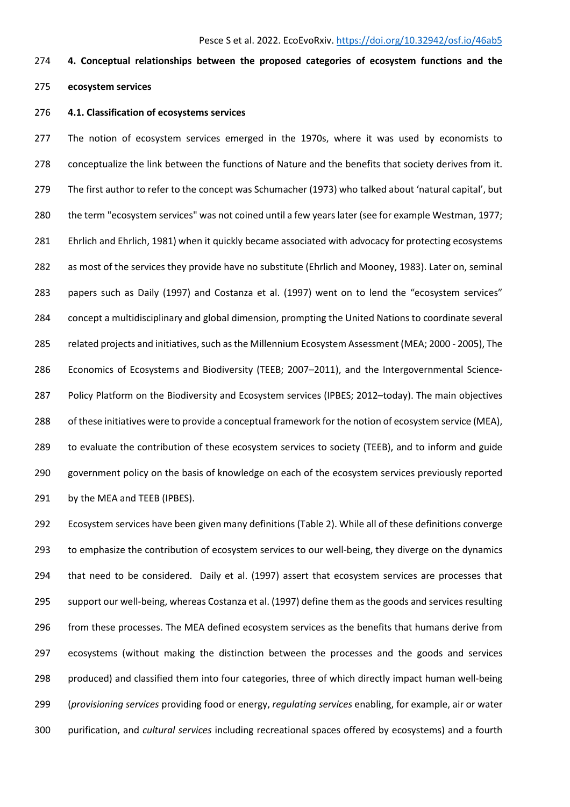# 274 **4. Conceptual relationships between the proposed categories of ecosystem functions and the**

### 275 **ecosystem services**

#### 276 **4.1. Classification of ecosystems services**

277 The notion of ecosystem services emerged in the 1970s, where it was used by economists to 278 conceptualize the link between the functions of Nature and the benefits that society derives from it. 279 The first author to refer to the concept was Schumacher (1973) who talked about 'natural capital', but 280 the term "ecosystem services" was not coined until a few years later (see for example Westman, 1977; 281 Ehrlich and Ehrlich, 1981) when it quickly became associated with advocacy for protecting ecosystems 282 as most of the services they provide have no substitute (Ehrlich and Mooney, 1983). Later on, seminal 283 papers such as Daily (1997) and Costanza et al. (1997) went on to lend the "ecosystem services" 284 concept a multidisciplinary and global dimension, prompting the United Nations to coordinate several 285 related projects and initiatives, such as the Millennium Ecosystem Assessment (MEA; 2000 - 2005), The 286 Economics of Ecosystems and Biodiversity (TEEB; 2007–2011), and the Intergovernmental Science-287 Policy Platform on the Biodiversity and Ecosystem services (IPBES; 2012–today). The main objectives 288 of these initiatives were to provide a conceptual framework for the notion of ecosystem service (MEA), 289 to evaluate the contribution of these ecosystem services to society (TEEB), and to inform and guide 290 government policy on the basis of knowledge on each of the ecosystem services previously reported 291 by the MEA and TEEB (IPBES).

292 Ecosystem services have been given many definitions (Table 2). While all of these definitions converge 293 to emphasize the contribution of ecosystem services to our well-being, they diverge on the dynamics 294 that need to be considered. Daily et al. (1997) assert that ecosystem services are processes that 295 support our well-being, whereas Costanza et al. (1997) define them as the goods and services resulting 296 from these processes. The MEA defined ecosystem services as the benefits that humans derive from 297 ecosystems (without making the distinction between the processes and the goods and services 298 produced) and classified them into four categories, three of which directly impact human well-being 299 (*provisioning services* providing food or energy, *regulating services* enabling, for example, air or water 300 purification, and *cultural services* including recreational spaces offered by ecosystems) and a fourth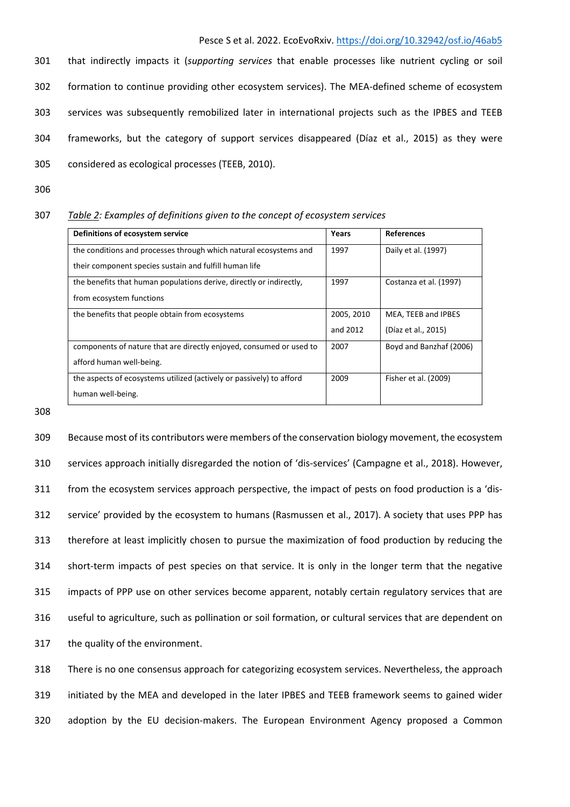301 that indirectly impacts it (*supporting services* that enable processes like nutrient cycling or soil 302 formation to continue providing other ecosystem services). The MEA-defined scheme of ecosystem 303 services was subsequently remobilized later in international projects such as the IPBES and TEEB 304 frameworks, but the category of support services disappeared (Díaz et al., 2015) as they were

- 305 considered as ecological processes (TEEB, 2010).
- 306

# 307 *Table 2: Examples of definitions given to the concept of ecosystem services*

| Definitions of ecosystem service                                     | Years      | <b>References</b>       |
|----------------------------------------------------------------------|------------|-------------------------|
| the conditions and processes through which natural ecosystems and    | 1997       | Daily et al. (1997)     |
| their component species sustain and fulfill human life               |            |                         |
| the benefits that human populations derive, directly or indirectly,  | 1997       | Costanza et al. (1997)  |
| from ecosystem functions                                             |            |                         |
| the benefits that people obtain from ecosystems                      | 2005, 2010 | MEA, TEEB and IPBES     |
|                                                                      | and 2012   | (Díaz et al., 2015)     |
| components of nature that are directly enjoyed, consumed or used to  | 2007       | Boyd and Banzhaf (2006) |
| afford human well-being.                                             |            |                         |
| the aspects of ecosystems utilized (actively or passively) to afford | 2009       | Fisher et al. (2009)    |
| human well-being.                                                    |            |                         |

308

309 Because most of its contributors were members of the conservation biology movement, the ecosystem 310 services approach initially disregarded the notion of 'dis-services' (Campagne et al., 2018). However, 311 from the ecosystem services approach perspective, the impact of pests on food production is a 'dis-312 service' provided by the ecosystem to humans (Rasmussen et al., 2017). A society that uses PPP has 313 therefore at least implicitly chosen to pursue the maximization of food production by reducing the 314 short-term impacts of pest species on that service. It is only in the longer term that the negative 315 impacts of PPP use on other services become apparent, notably certain regulatory services that are 316 useful to agriculture, such as pollination or soil formation, or cultural services that are dependent on 317 the quality of the environment.

318 There is no one consensus approach for categorizing ecosystem services. Nevertheless, the approach 319 initiated by the MEA and developed in the later IPBES and TEEB framework seems to gained wider 320 adoption by the EU decision-makers. The European Environment Agency proposed a Common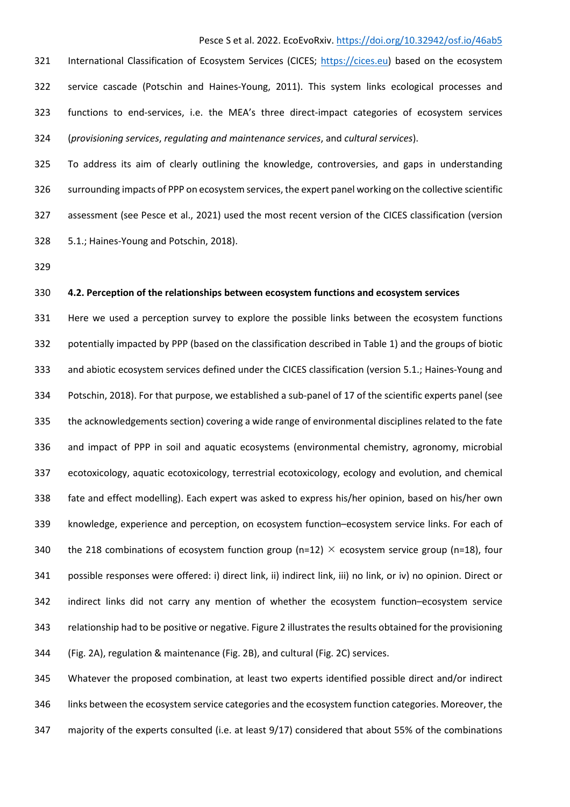321 International Classification of Ecosystem Services (CICES; https://cices.eu) based on the ecosystem 322 service cascade (Potschin and Haines-Young, 2011). This system links ecological processes and 323 functions to end-services, i.e. the MEA's three direct-impact categories of ecosystem services 324 (*provisioning services*, *regulating and maintenance services*, and *cultural services*).

325 To address its aim of clearly outlining the knowledge, controversies, and gaps in understanding 326 surrounding impacts of PPP on ecosystem services, the expert panel working on the collective scientific 327 assessment (see Pesce et al., 2021) used the most recent version of the CICES classification (version 328 5.1.; Haines-Young and Potschin, 2018).

329

#### 330 **4.2. Perception of the relationships between ecosystem functions and ecosystem services**

331 Here we used a perception survey to explore the possible links between the ecosystem functions 332 potentially impacted by PPP (based on the classification described in Table 1) and the groups of biotic 333 and abiotic ecosystem services defined under the CICES classification (version 5.1.; Haines-Young and 334 Potschin, 2018). For that purpose, we established a sub-panel of 17 of the scientific experts panel (see 335 the acknowledgements section) covering a wide range of environmental disciplines related to the fate 336 and impact of PPP in soil and aquatic ecosystems (environmental chemistry, agronomy, microbial 337 ecotoxicology, aquatic ecotoxicology, terrestrial ecotoxicology, ecology and evolution, and chemical 338 fate and effect modelling). Each expert was asked to express his/her opinion, based on his/her own 339 knowledge, experience and perception, on ecosystem function–ecosystem service links. For each of 340 the 218 combinations of ecosystem function group (n=12)  $\times$  ecosystem service group (n=18), four 341 possible responses were offered: i) direct link, ii) indirect link, iii) no link, or iv) no opinion. Direct or 342 indirect links did not carry any mention of whether the ecosystem function–ecosystem service 343 relationship had to be positive or negative. Figure 2 illustrates the results obtained for the provisioning 344 (Fig. 2A), regulation & maintenance (Fig. 2B), and cultural (Fig. 2C) services.

345 Whatever the proposed combination, at least two experts identified possible direct and/or indirect 346 links between the ecosystem service categories and the ecosystem function categories. Moreover, the 347 majority of the experts consulted (i.e. at least 9/17) considered that about 55% of the combinations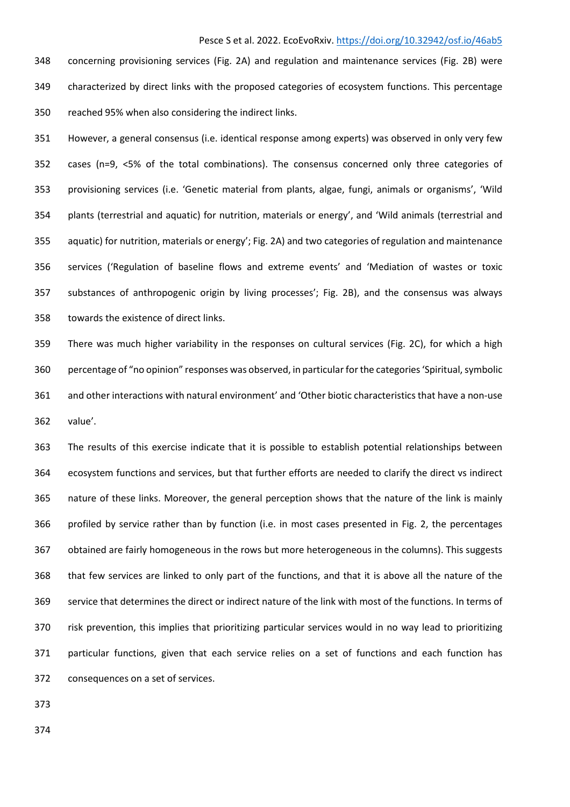348 concerning provisioning services (Fig. 2A) and regulation and maintenance services (Fig. 2B) were 349 characterized by direct links with the proposed categories of ecosystem functions. This percentage 350 reached 95% when also considering the indirect links.

351 However, a general consensus (i.e. identical response among experts) was observed in only very few 352 cases (n=9, <5% of the total combinations). The consensus concerned only three categories of 353 provisioning services (i.e. 'Genetic material from plants, algae, fungi, animals or organisms', 'Wild 354 plants (terrestrial and aquatic) for nutrition, materials or energy', and 'Wild animals (terrestrial and 355 aquatic) for nutrition, materials or energy'; Fig. 2A) and two categories of regulation and maintenance 356 services ('Regulation of baseline flows and extreme events' and 'Mediation of wastes or toxic 357 substances of anthropogenic origin by living processes'; Fig. 2B), and the consensus was always 358 towards the existence of direct links.

359 There was much higher variability in the responses on cultural services (Fig. 2C), for which a high 360 percentage of "no opinion" responses was observed, in particular for the categories 'Spiritual, symbolic 361 and other interactions with natural environment' and 'Other biotic characteristics that have a non-use 362 value'.

363 The results of this exercise indicate that it is possible to establish potential relationships between 364 ecosystem functions and services, but that further efforts are needed to clarify the direct vs indirect 365 nature of these links. Moreover, the general perception shows that the nature of the link is mainly 366 profiled by service rather than by function (i.e. in most cases presented in Fig. 2, the percentages 367 obtained are fairly homogeneous in the rows but more heterogeneous in the columns). This suggests 368 that few services are linked to only part of the functions, and that it is above all the nature of the 369 service that determines the direct or indirect nature of the link with most of the functions. In terms of 370 risk prevention, this implies that prioritizing particular services would in no way lead to prioritizing 371 particular functions, given that each service relies on a set of functions and each function has 372 consequences on a set of services.

373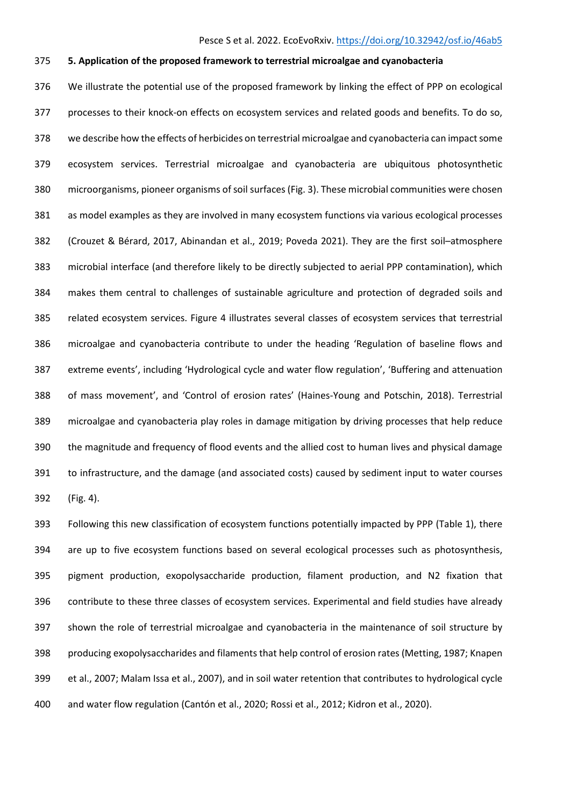### 375 **5. Application of the proposed framework to terrestrial microalgae and cyanobacteria**

376 We illustrate the potential use of the proposed framework by linking the effect of PPP on ecological 377 processes to their knock-on effects on ecosystem services and related goods and benefits. To do so, 378 we describe how the effects of herbicides on terrestrial microalgae and cyanobacteria can impact some 379 ecosystem services. Terrestrial microalgae and cyanobacteria are ubiquitous photosynthetic 380 microorganisms, pioneer organisms of soil surfaces (Fig. 3). These microbial communities were chosen 381 as model examples as they are involved in many ecosystem functions via various ecological processes 382 (Crouzet & Bérard, 2017, Abinandan et al., 2019; Poveda 2021). They are the first soil–atmosphere 383 microbial interface (and therefore likely to be directly subjected to aerial PPP contamination), which 384 makes them central to challenges of sustainable agriculture and protection of degraded soils and 385 related ecosystem services. Figure 4 illustrates several classes of ecosystem services that terrestrial 386 microalgae and cyanobacteria contribute to under the heading 'Regulation of baseline flows and 387 extreme events', including 'Hydrological cycle and water flow regulation', 'Buffering and attenuation 388 of mass movement', and 'Control of erosion rates' (Haines-Young and Potschin, 2018). Terrestrial 389 microalgae and cyanobacteria play roles in damage mitigation by driving processes that help reduce 390 the magnitude and frequency of flood events and the allied cost to human lives and physical damage 391 to infrastructure, and the damage (and associated costs) caused by sediment input to water courses 392 (Fig. 4).

393 Following this new classification of ecosystem functions potentially impacted by PPP (Table 1), there 394 are up to five ecosystem functions based on several ecological processes such as photosynthesis, 395 pigment production, exopolysaccharide production, filament production, and N2 fixation that 396 contribute to these three classes of ecosystem services. Experimental and field studies have already 397 shown the role of terrestrial microalgae and cyanobacteria in the maintenance of soil structure by 398 producing exopolysaccharides and filaments that help control of erosion rates (Metting, 1987; Knapen 399 et al., 2007; Malam Issa et al., 2007), and in soil water retention that contributes to hydrological cycle 400 and water flow regulation (Cantón et al., 2020; Rossi et al., 2012; Kidron et al., 2020).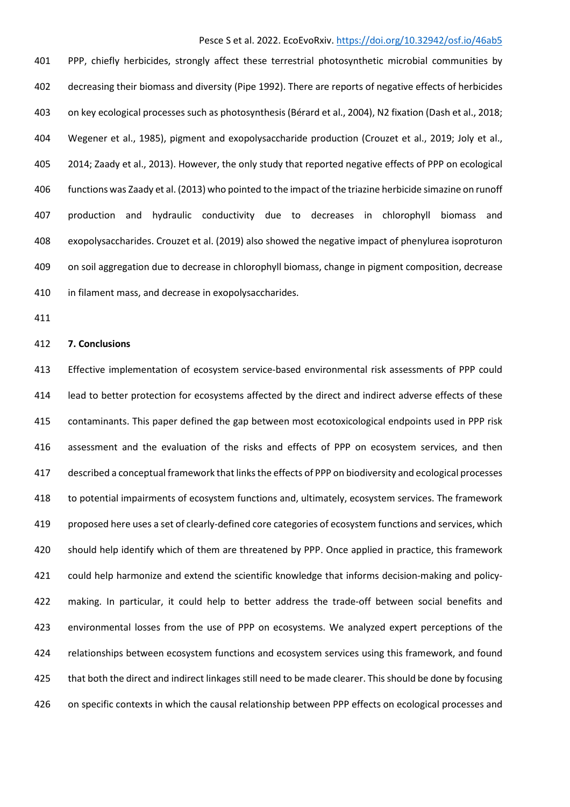401 PPP, chiefly herbicides, strongly affect these terrestrial photosynthetic microbial communities by 402 decreasing their biomass and diversity (Pipe 1992). There are reports of negative effects of herbicides 403 on key ecological processes such as photosynthesis (Bérard et al., 2004), N2 fixation (Dash et al., 2018; 404 Wegener et al., 1985), pigment and exopolysaccharide production (Crouzet et al., 2019; Joly et al., 405 2014; Zaady et al., 2013). However, the only study that reported negative effects of PPP on ecological 406 functions was Zaady et al. (2013) who pointed to the impact of the triazine herbicide simazine on runoff 407 production and hydraulic conductivity due to decreases in chlorophyll biomass and 408 exopolysaccharides. Crouzet et al. (2019) also showed the negative impact of phenylurea isoproturon 409 on soil aggregation due to decrease in chlorophyll biomass, change in pigment composition, decrease 410 in filament mass, and decrease in exopolysaccharides.

411

### 412 **7. Conclusions**

413 Effective implementation of ecosystem service-based environmental risk assessments of PPP could 414 lead to better protection for ecosystems affected by the direct and indirect adverse effects of these 415 contaminants. This paper defined the gap between most ecotoxicological endpoints used in PPP risk 416 assessment and the evaluation of the risks and effects of PPP on ecosystem services, and then 417 described a conceptual framework that links the effects of PPP on biodiversity and ecological processes 418 to potential impairments of ecosystem functions and, ultimately, ecosystem services. The framework 419 proposed here uses a set of clearly-defined core categories of ecosystem functions and services, which 420 should help identify which of them are threatened by PPP. Once applied in practice, this framework 421 could help harmonize and extend the scientific knowledge that informs decision-making and policy-422 making. In particular, it could help to better address the trade-off between social benefits and 423 environmental losses from the use of PPP on ecosystems. We analyzed expert perceptions of the 424 relationships between ecosystem functions and ecosystem services using this framework, and found 425 that both the direct and indirect linkages still need to be made clearer. This should be done by focusing 426 on specific contexts in which the causal relationship between PPP effects on ecological processes and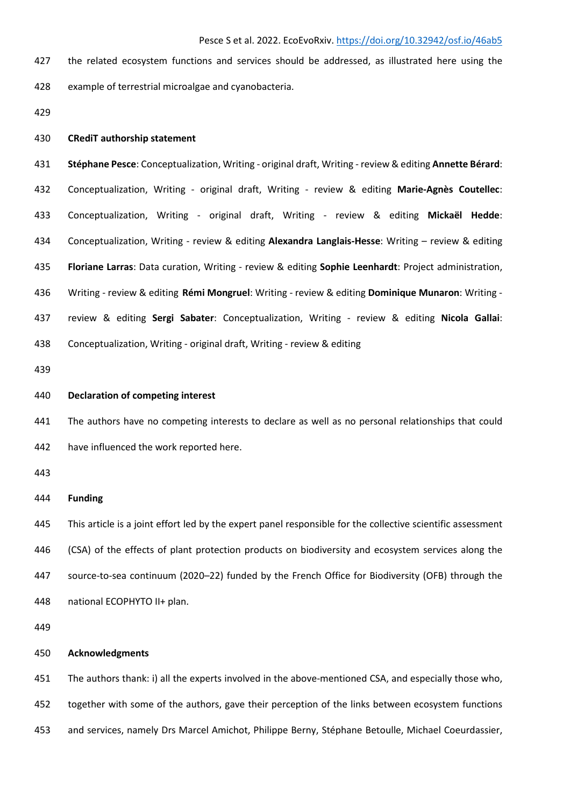- 427 the related ecosystem functions and services should be addressed, as illustrated here using the 428 example of terrestrial microalgae and cyanobacteria.
- 429

#### 430 **CRediT authorship statement**

431 **Stéphane Pesce**: Conceptualization, Writing - original draft, Writing - review & editing **Annette Bérard**: 432 Conceptualization, Writing - original draft, Writing - review & editing **Marie-Agnès Coutellec**: 433 Conceptualization, Writing - original draft, Writing - review & editing **Mickaël Hedde**: 434 Conceptualization, Writing - review & editing **Alexandra Langlais-Hesse**: Writing – review & editing 435 **Floriane Larras**: Data curation, Writing - review & editing **Sophie Leenhardt**: Project administration, 436 Writing - review & editing **Rémi Mongruel**: Writing - review & editing **Dominique Munaron**: Writing - 437 review & editing **Sergi Sabater**: Conceptualization, Writing - review & editing **Nicola Gallai**: 438 Conceptualization, Writing - original draft, Writing - review & editing

439

#### 440 **Declaration of competing interest**

441 The authors have no competing interests to declare as well as no personal relationships that could 442 have influenced the work reported here.

443

#### 444 **Funding**

445 This article is a joint effort led by the expert panel responsible for the collective scientific assessment 446 (CSA) of the effects of plant protection products on biodiversity and ecosystem services along the 447 source-to-sea continuum (2020–22) funded by the French Office for Biodiversity (OFB) through the 448 national ECOPHYTO II+ plan.

449

#### 450 **Acknowledgments**

451 The authors thank: i) all the experts involved in the above-mentioned CSA, and especially those who,

452 together with some of the authors, gave their perception of the links between ecosystem functions

453 and services, namely Drs Marcel Amichot, Philippe Berny, Stéphane Betoulle, Michael Coeurdassier,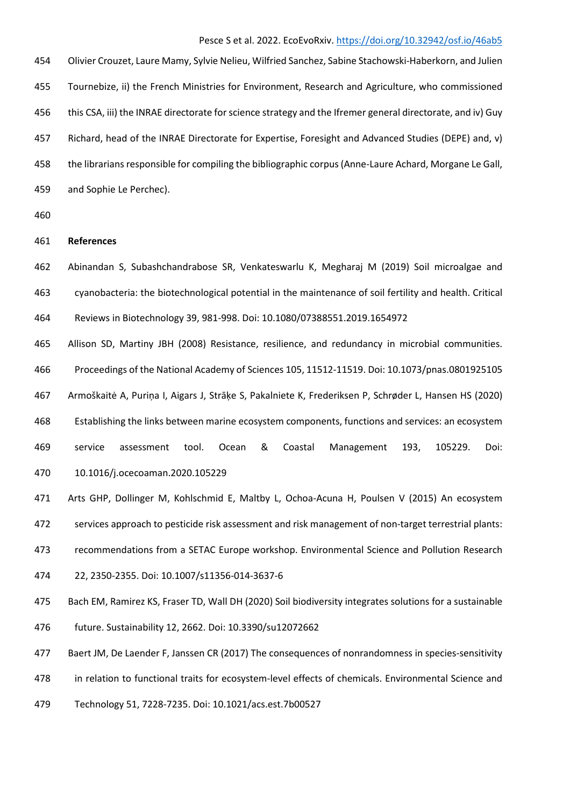454 Olivier Crouzet, Laure Mamy, Sylvie Nelieu, Wilfried Sanchez, Sabine Stachowski-Haberkorn, and Julien 455 Tournebize, ii) the French Ministries for Environment, Research and Agriculture, who commissioned 456 this CSA, iii) the INRAE directorate for science strategy and the Ifremer general directorate, and iv) Guy 457 Richard, head of the INRAE Directorate for Expertise, Foresight and Advanced Studies (DEPE) and, v) 458 the librarians responsible for compiling the bibliographic corpus (Anne-Laure Achard, Morgane Le Gall, 459 and Sophie Le Perchec).

460

461 **References**

462 Abinandan S, Subashchandrabose SR, Venkateswarlu K, Megharaj M (2019) Soil microalgae and 463 cyanobacteria: the biotechnological potential in the maintenance of soil fertility and health. Critical 464 Reviews in Biotechnology 39, 981-998. Doi: 10.1080/07388551.2019.1654972

465 Allison SD, Martiny JBH (2008) Resistance, resilience, and redundancy in microbial communities.

466 Proceedings of the National Academy of Sciences 105, 11512-11519. Doi: 10.1073/pnas.0801925105

467 Armoškaitė A, Puriņa I, Aigars J, Strāķe S, Pakalniete K, Frederiksen P, Schrøder L, Hansen HS (2020)

468 Establishing the links between marine ecosystem components, functions and services: an ecosystem

469 service assessment tool. Ocean & Coastal Management 193, 105229. Doi:

470 10.1016/j.ocecoaman.2020.105229

471 Arts GHP, Dollinger M, Kohlschmid E, Maltby L, Ochoa-Acuna H, Poulsen V (2015) An ecosystem

472 services approach to pesticide risk assessment and risk management of non-target terrestrial plants:

473 recommendations from a SETAC Europe workshop. Environmental Science and Pollution Research

474 22, 2350-2355. Doi: 10.1007/s11356-014-3637-6

475 Bach EM, Ramirez KS, Fraser TD, Wall DH (2020) Soil biodiversity integrates solutions for a sustainable

476 future. Sustainability 12, 2662. Doi: 10.3390/su12072662

477 Baert JM, De Laender F, Janssen CR (2017) The consequences of nonrandomness in species-sensitivity

478 in relation to functional traits for ecosystem-level effects of chemicals. Environmental Science and

479 Technology 51, 7228-7235. Doi: 10.1021/acs.est.7b00527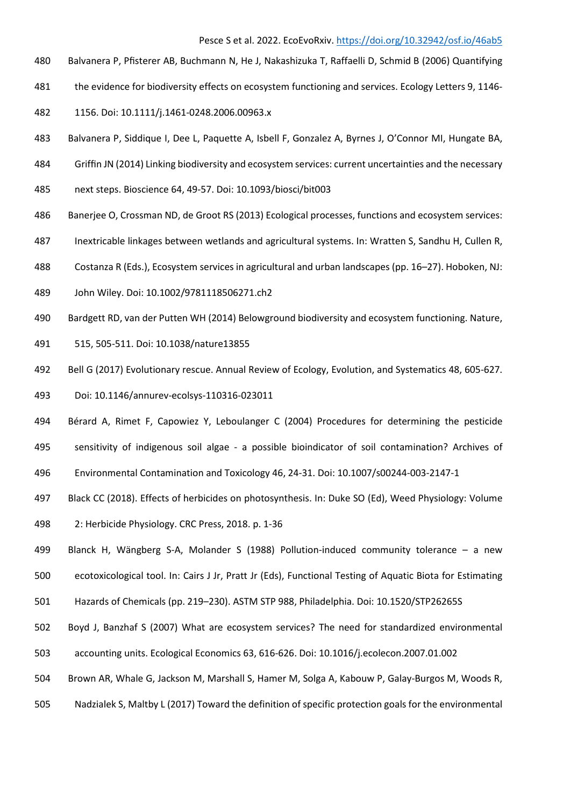- 480 Balvanera P, Pfisterer AB, Buchmann N, He J, Nakashizuka T, Raffaelli D, Schmid B (2006) Quantifying
- 481 the evidence for biodiversity effects on ecosystem functioning and services. Ecology Letters 9, 1146-
- 482 1156. Doi: 10.1111/j.1461-0248.2006.00963.x
- 483 Balvanera P, Siddique I, Dee L, Paquette A, Isbell F, Gonzalez A, Byrnes J, O'Connor MI, Hungate BA,
- 484 Griffin JN (2014) Linking biodiversity and ecosystem services: current uncertainties and the necessary
- 485 next steps. Bioscience 64, 49-57. Doi: 10.1093/biosci/bit003
- 486 Banerjee O, Crossman ND, de Groot RS (2013) Ecological processes, functions and ecosystem services:
- 487 Inextricable linkages between wetlands and agricultural systems. In: Wratten S, Sandhu H, Cullen R,
- 488 Costanza R (Eds.), Ecosystem services in agricultural and urban landscapes (pp. 16–27). Hoboken, NJ:
- 489 John Wiley. Doi: 10.1002/9781118506271.ch2
- 490 Bardgett RD, van der Putten WH (2014) Belowground biodiversity and ecosystem functioning. Nature,
- 491 515, 505-511. Doi: 10.1038/nature13855
- 492 Bell G (2017) Evolutionary rescue. Annual Review of Ecology, Evolution, and Systematics 48, 605-627.
- 493 Doi: 10.1146/annurev-ecolsys-110316-023011
- 494 Bérard A, Rimet F, Capowiez Y, Leboulanger C (2004) Procedures for determining the pesticide
- 495 sensitivity of indigenous soil algae a possible bioindicator of soil contamination? Archives of
- 496 Environmental Contamination and Toxicology 46, 24-31. Doi: 10.1007/s00244-003-2147-1
- 497 Black CC (2018). Effects of herbicides on photosynthesis. In: Duke SO (Ed), Weed Physiology: Volume
- 498 2: Herbicide Physiology. CRC Press, 2018. p. 1-36
- 499 Blanck H, Wängberg S-A, Molander S (1988) Pollution-induced community tolerance a new
- 500 ecotoxicological tool. In: Cairs J Jr, Pratt Jr (Eds), Functional Testing of Aquatic Biota for Estimating
- 501 Hazards of Chemicals (pp. 219–230). ASTM STP 988, Philadelphia. Doi: 10.1520/STP26265S
- 502 Boyd J, Banzhaf S (2007) What are ecosystem services? The need for standardized environmental
- 503 accounting units. Ecological Economics 63, 616-626. Doi: 10.1016/j.ecolecon.2007.01.002
- 504 Brown AR, Whale G, Jackson M, Marshall S, Hamer M, Solga A, Kabouw P, Galay-Burgos M, Woods R,
- 505 Nadzialek S, Maltby L (2017) Toward the definition of specific protection goals for the environmental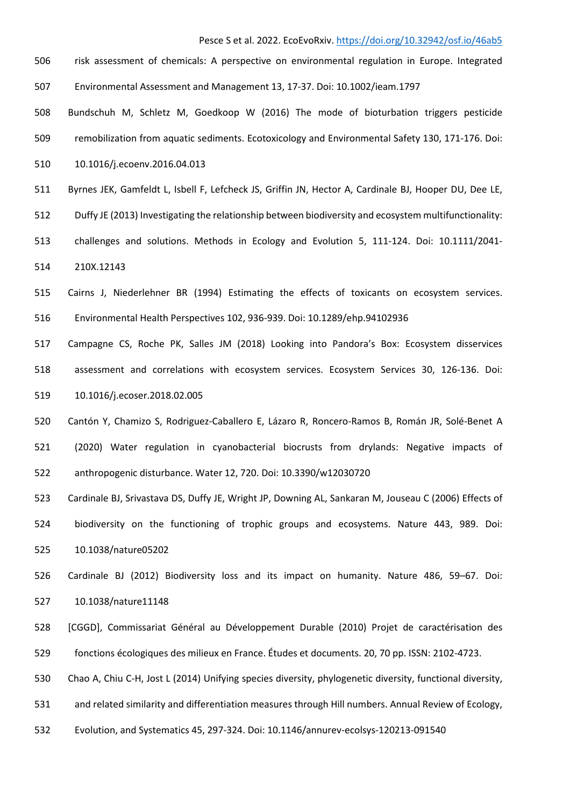- 506 risk assessment of chemicals: A perspective on environmental regulation in Europe. Integrated
- 507 Environmental Assessment and Management 13, 17-37. Doi: 10.1002/ieam.1797
- 508 Bundschuh M, Schletz M, Goedkoop W (2016) The mode of bioturbation triggers pesticide 509 remobilization from aquatic sediments. Ecotoxicology and Environmental Safety 130, 171-176. Doi:
- 510 10.1016/j.ecoenv.2016.04.013
- 511 Byrnes JEK, Gamfeldt L, Isbell F, Lefcheck JS, Griffin JN, Hector A, Cardinale BJ, Hooper DU, Dee LE,
- 512 Duffy JE (2013) Investigating the relationship between biodiversity and ecosystem multifunctionality:
- 513 challenges and solutions. Methods in Ecology and Evolution 5, 111-124. Doi: 10.1111/2041- 514 210X.12143
- 515 Cairns J, Niederlehner BR (1994) Estimating the effects of toxicants on ecosystem services. 516 Environmental Health Perspectives 102, 936-939. Doi: 10.1289/ehp.94102936
- 517 Campagne CS, Roche PK, Salles JM (2018) Looking into Pandora's Box: Ecosystem disservices 518 assessment and correlations with ecosystem services. Ecosystem Services 30, 126-136. Doi: 519 10.1016/j.ecoser.2018.02.005
- 520 Cantón Y, Chamizo S, Rodriguez-Caballero E, Lázaro R, Roncero-Ramos B, Román JR, Solé-Benet A 521 (2020) Water regulation in cyanobacterial biocrusts from drylands: Negative impacts of 522 anthropogenic disturbance. Water 12, 720. Doi: 10.3390/w12030720
- 523 Cardinale BJ, Srivastava DS, Duffy JE, Wright JP, Downing AL, Sankaran M, Jouseau C (2006) Effects of 524 biodiversity on the functioning of trophic groups and ecosystems. Nature 443, 989. Doi: 525 10.1038/nature05202
- 526 Cardinale BJ (2012) Biodiversity loss and its impact on humanity. Nature 486, 59–67. Doi: 527 10.1038/nature11148
- 528 [CGGD], Commissariat Général au Développement Durable (2010) Projet de caractérisation des 529 fonctions écologiques des milieux en France. Études et documents. 20, 70 pp. ISSN: 2102-4723.
- 530 Chao A, Chiu C-H, Jost L (2014) Unifying species diversity, phylogenetic diversity, functional diversity,
- 531 and related similarity and differentiation measures through Hill numbers. Annual Review of Ecology,
- 532 Evolution, and Systematics 45, 297-324. Doi: 10.1146/annurev-ecolsys-120213-091540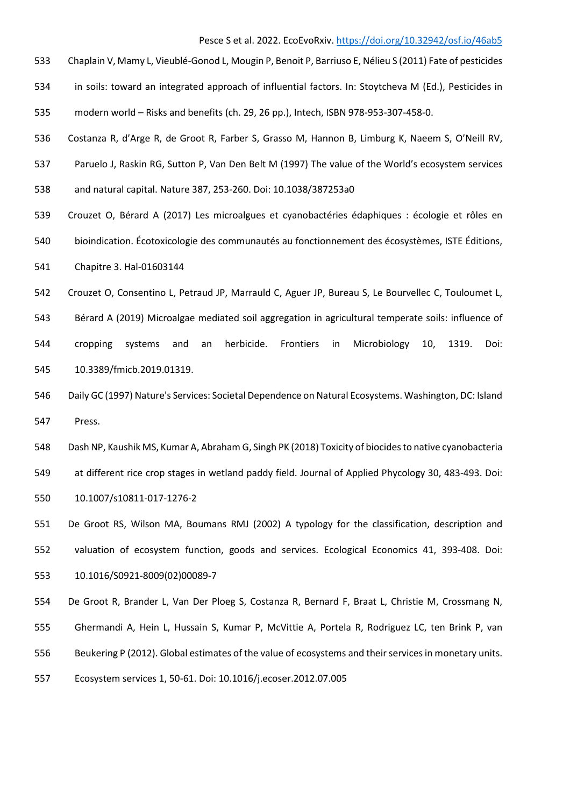- 533 Chaplain V, Mamy L, Vieublé-Gonod L, Mougin P, Benoit P, Barriuso E, Nélieu S (2011) Fate of pesticides
- 534 in soils: toward an integrated approach of influential factors. In: Stoytcheva M (Ed.), Pesticides in
- 535 modern world Risks and benefits (ch. 29, 26 pp.), Intech, ISBN 978-953-307-458-0.
- 536 Costanza R, d'Arge R, de Groot R, Farber S, Grasso M, Hannon B, Limburg K, Naeem S, O'Neill RV,
- 537 Paruelo J, Raskin RG, Sutton P, Van Den Belt M (1997) The value of the World's ecosystem services
- 538 and natural capital. Nature 387, 253-260. Doi: 10.1038/387253a0
- 539 Crouzet O, Bérard A (2017) Les microalgues et cyanobactéries édaphiques : écologie et rôles en
- 540 bioindication. Écotoxicologie des communautés au fonctionnement des écosystèmes, ISTE Éditions, 541 Chapitre 3. Hal-01603144
- 542 Crouzet O, Consentino L, Petraud JP, Marrauld C, Aguer JP, Bureau S, Le Bourvellec C, Touloumet L,
- 543 Bérard A (2019) Microalgae mediated soil aggregation in agricultural temperate soils: influence of 544 cropping systems and an herbicide. Frontiers in Microbiology 10, 1319. Doi: 545 10.3389/fmicb.2019.01319.
- 546 Daily GC (1997) Nature's Services: Societal Dependence on Natural Ecosystems. Washington, DC: Island 547 Press.
- 548 Dash NP, Kaushik MS, Kumar A, Abraham G, Singh PK (2018) Toxicity of biocides to native cyanobacteria 549 at different rice crop stages in wetland paddy field. Journal of Applied Phycology 30, 483-493. Doi: 550 10.1007/s10811-017-1276-2
- 551 De Groot RS, Wilson MA, Boumans RMJ (2002) A typology for the classification, description and 552 valuation of ecosystem function, goods and services. Ecological Economics 41, 393-408. Doi: 553 10.1016/S0921-8009(02)00089-7
- 554 De Groot R, Brander L, Van Der Ploeg S, Costanza R, Bernard F, Braat L, Christie M, Crossmang N, 555 Ghermandi A, Hein L, Hussain S, Kumar P, McVittie A, Portela R, Rodriguez LC, ten Brink P, van 556 Beukering P (2012). Global estimates of the value of ecosystems and their services in monetary units. 557 Ecosystem services 1, 50-61. Doi: 10.1016/j.ecoser.2012.07.005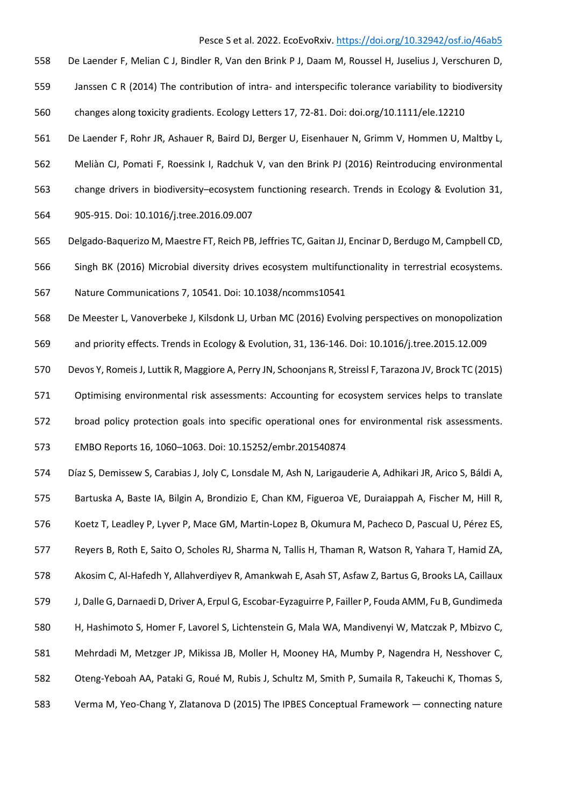- 558 De Laender F, Melian C J, Bindler R, Van den Brink P J, Daam M, Roussel H, Juselius J, Verschuren D,
- 559 Janssen C R (2014) The contribution of intra- and interspecific tolerance variability to biodiversity
- 560 changes along toxicity gradients. Ecology Letters 17, 72-81. Doi: doi.org/10.1111/ele.12210
- 561 De Laender F, Rohr JR, Ashauer R, Baird DJ, Berger U, Eisenhauer N, Grimm V, Hommen U, Maltby L,

562 Meliàn CJ, Pomati F, Roessink I, Radchuk V, van den Brink PJ (2016) Reintroducing environmental

- 563 change drivers in biodiversity–ecosystem functioning research. Trends in Ecology & Evolution 31,
- 564 905-915. Doi: 10.1016/j.tree.2016.09.007
- 565 Delgado-Baquerizo M, Maestre FT, Reich PB, Jeffries TC, Gaitan JJ, Encinar D, Berdugo M, Campbell CD,

566 Singh BK (2016) Microbial diversity drives ecosystem multifunctionality in terrestrial ecosystems.

567 Nature Communications 7, 10541. Doi: 10.1038/ncomms10541

- 568 De Meester L, Vanoverbeke J, Kilsdonk LJ, Urban MC (2016) Evolving perspectives on monopolization
- 569 and priority effects. Trends in Ecology & Evolution, 31, 136-146. Doi: 10.1016/j.tree.2015.12.009

570 Devos Y, Romeis J, Luttik R, Maggiore A, Perry JN, Schoonjans R, Streissl F, Tarazona JV, Brock TC (2015)

- 571 Optimising environmental risk assessments: Accounting for ecosystem services helps to translate
- 572 broad policy protection goals into specific operational ones for environmental risk assessments.
- 573 EMBO Reports 16, 1060–1063. Doi: 10.15252/embr.201540874

574 Díaz S, Demissew S, Carabias J, Joly C, Lonsdale M, Ash N, Larigauderie A, Adhikari JR, Arico S, Báldi A, 575 Bartuska A, Baste IA, Bilgin A, Brondizio E, Chan KM, Figueroa VE, Duraiappah A, Fischer M, Hill R, 576 Koetz T, Leadley P, Lyver P, Mace GM, Martin-Lopez B, Okumura M, Pacheco D, Pascual U, Pérez ES, 577 Reyers B, Roth E, Saito O, Scholes RJ, Sharma N, Tallis H, Thaman R, Watson R, Yahara T, Hamid ZA, 578 Akosim C, Al-Hafedh Y, Allahverdiyev R, Amankwah E, Asah ST, Asfaw Z, Bartus G, Brooks LA, Caillaux 579 J, Dalle G, Darnaedi D, Driver A, Erpul G, Escobar-Eyzaguirre P, Failler P, Fouda AMM, Fu B, Gundimeda 580 H, Hashimoto S, Homer F, Lavorel S, Lichtenstein G, Mala WA, Mandivenyi W, Matczak P, Mbizvo C, 581 Mehrdadi M, Metzger JP, Mikissa JB, Moller H, Mooney HA, Mumby P, Nagendra H, Nesshover C, 582 Oteng-Yeboah AA, Pataki G, Roué M, Rubis J, Schultz M, Smith P, Sumaila R, Takeuchi K, Thomas S, 583 Verma M, Yeo-Chang Y, Zlatanova D (2015) The IPBES Conceptual Framework — connecting nature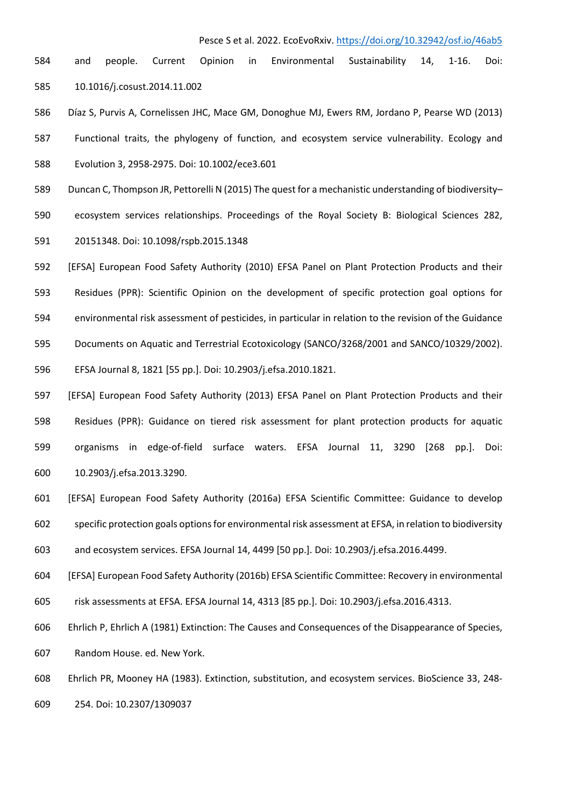584 and people. Current Opinion in Environmental Sustainability 14, 1-16. Doi: 585 10.1016/j.cosust.2014.11.002

- 586 Díaz S, Purvis A, Cornelissen JHC, Mace GM, Donoghue MJ, Ewers RM, Jordano P, Pearse WD (2013) 587 Functional traits, the phylogeny of function, and ecosystem service vulnerability. Ecology and 588 Evolution 3, 2958-2975. Doi: 10.1002/ece3.601
- 589 Duncan C, Thompson JR, Pettorelli N (2015) The quest for a mechanistic understanding of biodiversity–
- 590 ecosystem services relationships. Proceedings of the Royal Society B: Biological Sciences 282,
- 591 20151348. Doi: 10.1098/rspb.2015.1348
- 592 [EFSA] European Food Safety Authority (2010) EFSA Panel on Plant Protection Products and their 593 Residues (PPR): Scientific Opinion on the development of specific protection goal options for 594 environmental risk assessment of pesticides, in particular in relation to the revision of the Guidance 595 Documents on Aquatic and Terrestrial Ecotoxicology (SANCO/3268/2001 and SANCO/10329/2002).
- 596 EFSA Journal 8, 1821 [55 pp.]. Doi: 10.2903/j.efsa.2010.1821.
- 597 [EFSA] European Food Safety Authority (2013) EFSA Panel on Plant Protection Products and their 598 Residues (PPR): Guidance on tiered risk assessment for plant protection products for aquatic 599 organisms in edge-of-field surface waters. EFSA Journal 11, 3290 [268 pp.]. Doi: 600 10.2903/j.efsa.2013.3290.
- 601 [EFSA] European Food Safety Authority (2016a) EFSA Scientific Committee: Guidance to develop 602 specific protection goals options for environmental risk assessment at EFSA, in relation to biodiversity
- 603 and ecosystem services. EFSA Journal 14, 4499 [50 pp.]. Doi: 10.2903/j.efsa.2016.4499.
- 604 [EFSA] European Food Safety Authority (2016b) EFSA Scientific Committee: Recovery in environmental
- 605 risk assessments at EFSA. EFSA Journal 14, 4313 [85 pp.]. Doi: 10.2903/j.efsa.2016.4313.
- 606 Ehrlich P, Ehrlich A (1981) Extinction: The Causes and Consequences of the Disappearance of Species, 607 Random House. ed. New York.
- 608 Ehrlich PR, Mooney HA (1983). Extinction, substitution, and ecosystem services. BioScience 33, 248-
- 609 254. Doi: 10.2307/1309037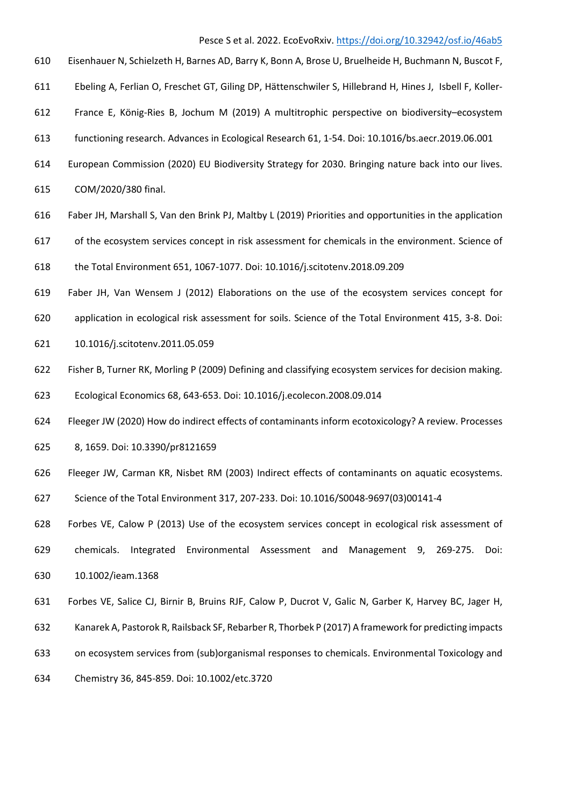- 610 Eisenhauer N, Schielzeth H, Barnes AD, Barry K, Bonn A, Brose U, Bruelheide H, Buchmann N, Buscot F,
- 611 Ebeling A, Ferlian O, Freschet GT, Giling DP, Hättenschwiler S, Hillebrand H, Hines J, Isbell F, Koller-
- 612 France E, König-Ries B, Jochum M (2019) A multitrophic perspective on biodiversity–ecosystem
- 613 functioning research. Advances in Ecological Research 61, 1-54. Doi: 10.1016/bs.aecr.2019.06.001
- 614 European Commission (2020) EU Biodiversity Strategy for 2030. Bringing nature back into our lives.
- 615 COM/2020/380 final.
- 616 Faber JH, Marshall S, Van den Brink PJ, Maltby L (2019) Priorities and opportunities in the application
- 617 of the ecosystem services concept in risk assessment for chemicals in the environment. Science of
- 618 the Total Environment 651, 1067-1077. Doi: 10.1016/j.scitotenv.2018.09.209
- 619 Faber JH, Van Wensem J (2012) Elaborations on the use of the ecosystem services concept for
- 620 application in ecological risk assessment for soils. Science of the Total Environment 415, 3-8. Doi:
- 621 10.1016/j.scitotenv.2011.05.059
- 622 Fisher B, Turner RK, Morling P (2009) Defining and classifying ecosystem services for decision making. 623 Ecological Economics 68, 643-653. Doi: 10.1016/j.ecolecon.2008.09.014
- 624 Fleeger JW (2020) How do indirect effects of contaminants inform ecotoxicology? A review. Processes
- 625 8, 1659. Doi: 10.3390/pr8121659
- 626 Fleeger JW, Carman KR, Nisbet RM (2003) Indirect effects of contaminants on aquatic ecosystems.
- 627 Science of the Total Environment 317, 207-233. Doi: 10.1016/S0048-9697(03)00141-4
- 628 Forbes VE, Calow P (2013) Use of the ecosystem services concept in ecological risk assessment of
- 629 chemicals. Integrated Environmental Assessment and Management 9, 269-275. Doi: 630 10.1002/ieam.1368
- 631 Forbes VE, Salice CJ, Birnir B, Bruins RJF, Calow P, Ducrot V, Galic N, Garber K, Harvey BC, Jager H,
- 632 Kanarek A, Pastorok R, Railsback SF, Rebarber R, Thorbek P (2017) A framework for predicting impacts
- 633 on ecosystem services from (sub)organismal responses to chemicals. Environmental Toxicology and
- 634 Chemistry 36, 845-859. Doi: 10.1002/etc.3720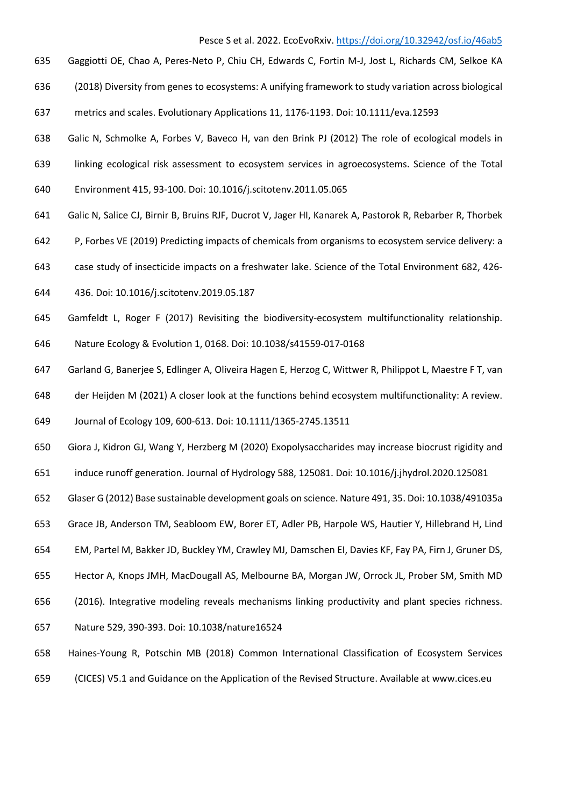- 635 Gaggiotti OE, Chao A, Peres-Neto P, Chiu CH, Edwards C, Fortin M-J, Jost L, Richards CM, Selkoe KA
- 636 (2018) Diversity from genes to ecosystems: A unifying framework to study variation across biological
- 637 metrics and scales. Evolutionary Applications 11, 1176-1193. Doi: 10.1111/eva.12593
- 638 Galic N, Schmolke A, Forbes V, Baveco H, van den Brink PJ (2012) The role of ecological models in
- 639 linking ecological risk assessment to ecosystem services in agroecosystems. Science of the Total
- 640 Environment 415, 93-100. Doi: 10.1016/j.scitotenv.2011.05.065
- 641 Galic N, Salice CJ, Birnir B, Bruins RJF, Ducrot V, Jager HI, Kanarek A, Pastorok R, Rebarber R, Thorbek
- 642 P, Forbes VE (2019) Predicting impacts of chemicals from organisms to ecosystem service delivery: a
- 643 case study of insecticide impacts on a freshwater lake. Science of the Total Environment 682, 426-
- 644 436. Doi: 10.1016/j.scitotenv.2019.05.187
- 645 Gamfeldt L, Roger F (2017) Revisiting the biodiversity-ecosystem multifunctionality relationship.
- 646 Nature Ecology & Evolution 1, 0168. Doi: 10.1038/s41559-017-0168
- 647 Garland G, Banerjee S, Edlinger A, Oliveira Hagen E, Herzog C, Wittwer R, Philippot L, Maestre F T, van
- 648 der Heijden M (2021) A closer look at the functions behind ecosystem multifunctionality: A review.

649 Journal of Ecology 109, 600-613. Doi: 10.1111/1365-2745.13511

- 650 Giora J, Kidron GJ, Wang Y, Herzberg M (2020) Exopolysaccharides may increase biocrust rigidity and
- 651 induce runoff generation. Journal of Hydrology 588, 125081. Doi: 10.1016/j.jhydrol.2020.125081
- 652 Glaser G (2012) Base sustainable development goals on science. Nature 491, 35. Doi: 10.1038/491035a
- 653 Grace JB, Anderson TM, Seabloom EW, Borer ET, Adler PB, Harpole WS, Hautier Y, Hillebrand H, Lind
- 654 EM, Partel M, Bakker JD, Buckley YM, Crawley MJ, Damschen EI, Davies KF, Fay PA, Firn J, Gruner DS,
- 655 Hector A, Knops JMH, MacDougall AS, Melbourne BA, Morgan JW, Orrock JL, Prober SM, Smith MD
- 656 (2016). Integrative modeling reveals mechanisms linking productivity and plant species richness.
- 657 Nature 529, 390-393. Doi: 10.1038/nature16524
- 658 Haines-Young R, Potschin MB (2018) Common International Classification of Ecosystem Services
- 659 (CICES) V5.1 and Guidance on the Application of the Revised Structure. Available at www.cices.eu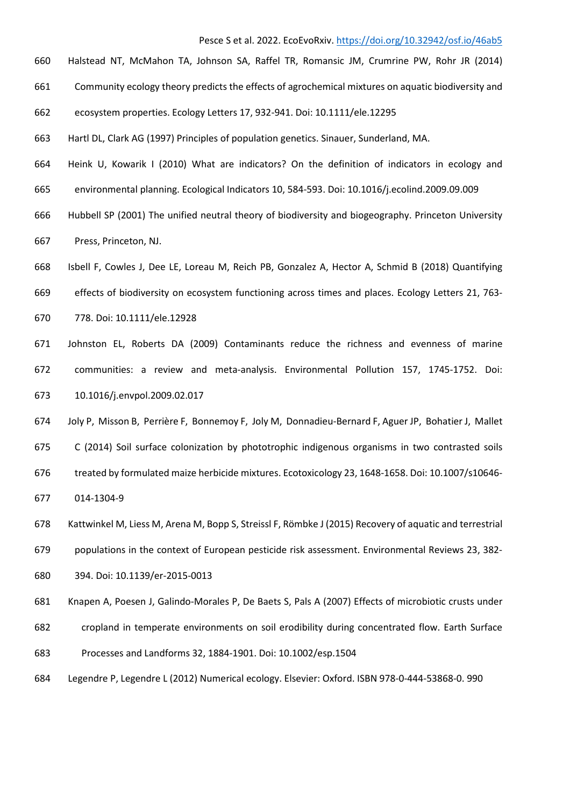660 Halstead NT, McMahon TA, Johnson SA, Raffel TR, Romansic JM, Crumrine PW, Rohr JR (2014)

- 661 Community ecology theory predicts the effects of agrochemical mixtures on aquatic biodiversity and
- 662 ecosystem properties. Ecology Letters 17, 932-941. Doi: 10.1111/ele.12295
- 663 Hartl DL, Clark AG (1997) Principles of population genetics. Sinauer, Sunderland, MA.
- 664 Heink U, Kowarik I (2010) What are indicators? On the definition of indicators in ecology and
- 665 environmental planning. Ecological Indicators 10, 584-593. Doi: 10.1016/j.ecolind.2009.09.009
- 666 Hubbell SP (2001) The unified neutral theory of biodiversity and biogeography. Princeton University 667 Press, Princeton, NJ.
- 668 Isbell F, Cowles J, Dee LE, Loreau M, Reich PB, Gonzalez A, Hector A, Schmid B (2018) Quantifying
- 669 effects of biodiversity on ecosystem functioning across times and places. Ecology Letters 21, 763-
- 670 778. Doi: 10.1111/ele.12928
- 671 Johnston EL, Roberts DA (2009) Contaminants reduce the richness and evenness of marine 672 communities: a review and meta-analysis. Environmental Pollution 157, 1745-1752. Doi: 673 10.1016/j.envpol.2009.02.017
- 674 Joly P, Misson B, Perrière F, Bonnemoy F, Joly M, Donnadieu-Bernard F, Aguer JP, Bohatier J, Mallet 675 C (2014) Soil surface colonization by phototrophic indigenous organisms in two contrasted soils 676 treated by formulated maize herbicide mixtures. Ecotoxicology 23, 1648-1658. Doi: 10.1007/s10646- 677 014-1304-9
- 678 Kattwinkel M, Liess M, Arena M, Bopp S, Streissl F, Römbke J (2015) Recovery of aquatic and terrestrial
- 679 populations in the context of European pesticide risk assessment. Environmental Reviews 23, 382-
- 680 394. Doi: 10.1139/er-2015-0013
- 681 Knapen A, Poesen J, Galindo-Morales P, De Baets S, Pals A (2007) Effects of microbiotic crusts under
- 682 cropland in temperate environments on soil erodibility during concentrated flow. Earth Surface
- 683 Processes and Landforms 32, 1884-1901. Doi: 10.1002/esp.1504
- 684 Legendre P, Legendre L (2012) Numerical ecology. Elsevier: Oxford. ISBN 978-0-444-53868-0. 990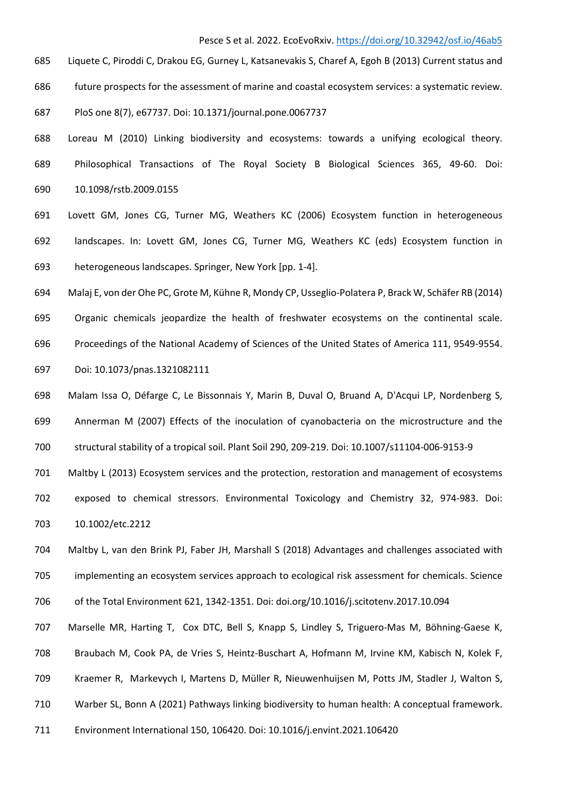- 685 Liquete C, Piroddi C, Drakou EG, Gurney L, Katsanevakis S, Charef A, Egoh B (2013) Current status and
- 686 future prospects for the assessment of marine and coastal ecosystem services: a systematic review.
- 687 PloS one 8(7), e67737. Doi: 10.1371/journal.pone.0067737
- 688 Loreau M (2010) Linking biodiversity and ecosystems: towards a unifying ecological theory. 689 Philosophical Transactions of The Royal Society B Biological Sciences 365, 49-60. Doi:
- 690 10.1098/rstb.2009.0155
- 691 Lovett GM, Jones CG, Turner MG, Weathers KC (2006) Ecosystem function in heterogeneous 692 landscapes. In: Lovett GM, Jones CG, Turner MG, Weathers KC (eds) Ecosystem function in 693 heterogeneous landscapes. Springer, New York [pp. 1-4].
- 694 Malaj E, von der Ohe PC, Grote M, Kühne R, Mondy CP, Usseglio-Polatera P, Brack W, Schäfer RB (2014)
- 695 Organic chemicals jeopardize the health of freshwater ecosystems on the continental scale.
- 696 Proceedings of the National Academy of Sciences of the United States of America 111, 9549-9554.
- 697 Doi: 10.1073/pnas.1321082111
- 698 Malam Issa O, Défarge C, Le Bissonnais Y, Marin B, Duval O, Bruand A, D'Acqui LP, Nordenberg S, 699 Annerman M (2007) Effects of the inoculation of cyanobacteria on the microstructure and the
- 700 structural stability of a tropical soil. Plant Soil 290, 209-219. Doi: 10.1007/s11104-006-9153-9
- 701 Maltby L (2013) Ecosystem services and the protection, restoration and management of ecosystems
- 702 exposed to chemical stressors. Environmental Toxicology and Chemistry 32, 974-983. Doi:
- 703 10.1002/etc.2212
- 704 Maltby L, van den Brink PJ, Faber JH, Marshall S (2018) Advantages and challenges associated with 705 implementing an ecosystem services approach to ecological risk assessment for chemicals. Science
- 706 of the Total Environment 621, 1342-1351. Doi: doi.org/10.1016/j.scitotenv.2017.10.094
- 707 Marselle MR, Harting T, Cox DTC, Bell S, Knapp S, Lindley S, Triguero-Mas M, Böhning-Gaese K,
- 708 Braubach M, Cook PA, de Vries S, Heintz-Buschart A, Hofmann M, Irvine KM, Kabisch N, Kolek F,
- 709 Kraemer R, Markevych I, Martens D, Müller R, Nieuwenhuijsen M, Potts JM, Stadler J, Walton S,
- 710 Warber SL, Bonn A (2021) Pathways linking biodiversity to human health: A conceptual framework.
- 711 Environment International 150, 106420. Doi: 10.1016/j.envint.2021.106420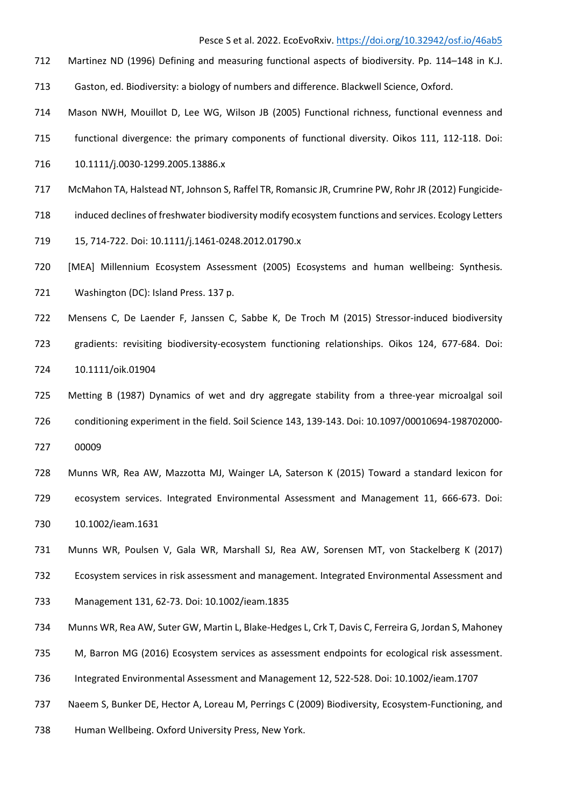- 712 Martinez ND (1996) Defining and measuring functional aspects of biodiversity. Pp. 114–148 in K.J.
- 713 Gaston, ed. Biodiversity: a biology of numbers and difference. Blackwell Science, Oxford.
- 714 Mason NWH, Mouillot D, Lee WG, Wilson JB (2005) Functional richness, functional evenness and
- 715 functional divergence: the primary components of functional diversity. Oikos 111, 112-118. Doi:
- 716 10.1111/j.0030-1299.2005.13886.x
- 717 McMahon TA, Halstead NT, Johnson S, Raffel TR, Romansic JR, Crumrine PW, Rohr JR (2012) Fungicide-
- 718 induced declines of freshwater biodiversity modify ecosystem functions and services. Ecology Letters
- 719 15, 714-722. Doi: 10.1111/j.1461-0248.2012.01790.x
- 720 [MEA] Millennium Ecosystem Assessment (2005) Ecosystems and human wellbeing: Synthesis. 721 Washington (DC): Island Press. 137 p.
- 722 Mensens C, De Laender F, Janssen C, Sabbe K, De Troch M (2015) Stressor-induced biodiversity 723 gradients: revisiting biodiversity-ecosystem functioning relationships. Oikos 124, 677-684. Doi: 724 10.1111/oik.01904
- 725 Metting B (1987) Dynamics of wet and dry aggregate stability from a three-year microalgal soil 726 conditioning experiment in the field. Soil Science 143, 139-143. Doi: 10.1097/00010694-198702000-
- 727 00009
- 728 Munns WR, Rea AW, Mazzotta MJ, Wainger LA, Saterson K (2015) Toward a standard lexicon for 729 ecosystem services. Integrated Environmental Assessment and Management 11, 666-673. Doi: 730 10.1002/ieam.1631
- 731 Munns WR, Poulsen V, Gala WR, Marshall SJ, Rea AW, Sorensen MT, von Stackelberg K (2017)
- 732 Ecosystem services in risk assessment and management. Integrated Environmental Assessment and
- 733 Management 131, 62-73. Doi: 10.1002/ieam.1835
- 734 Munns WR, Rea AW, Suter GW, Martin L, Blake-Hedges L, Crk T, Davis C, Ferreira G, Jordan S, Mahoney
- 735 M, Barron MG (2016) Ecosystem services as assessment endpoints for ecological risk assessment.
- 736 Integrated Environmental Assessment and Management 12, 522-528. Doi: 10.1002/ieam.1707
- 737 Naeem S, Bunker DE, Hector A, Loreau M, Perrings C (2009) Biodiversity, Ecosystem-Functioning, and
- 738 Human Wellbeing. Oxford University Press, New York.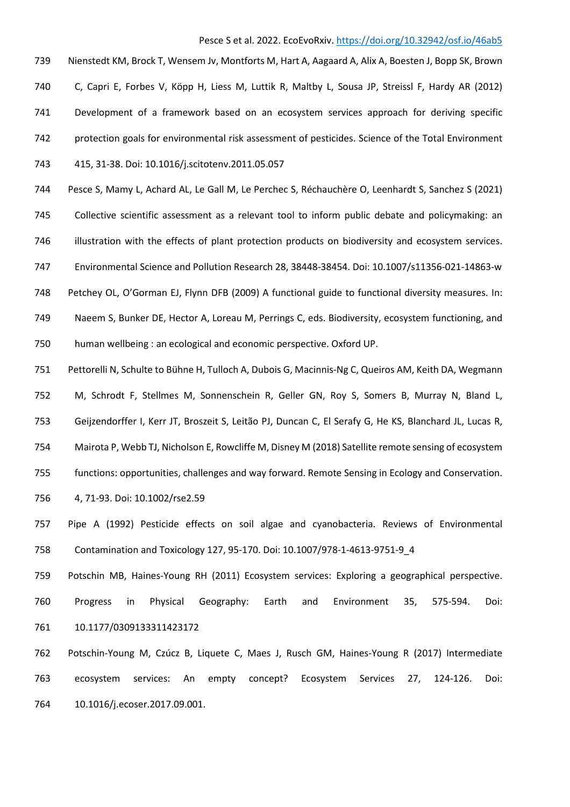739 Nienstedt KM, Brock T, Wensem Jv, Montforts M, Hart A, Aagaard A, Alix A, Boesten J, Bopp SK, Brown 740 C, Capri E, Forbes V, Köpp H, Liess M, Luttik R, Maltby L, Sousa JP, Streissl F, Hardy AR (2012) 741 Development of a framework based on an ecosystem services approach for deriving specific 742 protection goals for environmental risk assessment of pesticides. Science of the Total Environment

743 415, 31-38. Doi: 10.1016/j.scitotenv.2011.05.057

744 Pesce S, Mamy L, Achard AL, Le Gall M, Le Perchec S, Réchauchère O, Leenhardt S, Sanchez S (2021) 745 Collective scientific assessment as a relevant tool to inform public debate and policymaking: an 746 illustration with the effects of plant protection products on biodiversity and ecosystem services. 747 Environmental Science and Pollution Research 28, 38448-38454. Doi: 10.1007/s11356-021-14863-w 748 Petchey OL, O'Gorman EJ, Flynn DFB (2009) A functional guide to functional diversity measures. In: 749 Naeem S, Bunker DE, Hector A, Loreau M, Perrings C, eds. Biodiversity, ecosystem functioning, and 750 human wellbeing : an ecological and economic perspective. Oxford UP.

751 Pettorelli N, Schulte to Bühne H, Tulloch A, Dubois G, Macinnis-Ng C, Queiros AM, Keith DA, Wegmann 752 M, Schrodt F, Stellmes M, Sonnenschein R, Geller GN, Roy S, Somers B, Murray N, Bland L, 753 Geijzendorffer I, Kerr JT, Broszeit S, Leitão PJ, Duncan C, El Serafy G, He KS, Blanchard JL, Lucas R, 754 Mairota P, Webb TJ, Nicholson E, Rowcliffe M, Disney M (2018) Satellite remote sensing of ecosystem 755 functions: opportunities, challenges and way forward. Remote Sensing in Ecology and Conservation. 756 4, 71-93. Doi: 10.1002/rse2.59

757 Pipe A (1992) Pesticide effects on soil algae and cyanobacteria. Reviews of Environmental 758 Contamination and Toxicology 127, 95-170. Doi: 10.1007/978-1-4613-9751-9\_4

759 Potschin MB, Haines-Young RH (2011) Ecosystem services: Exploring a geographical perspective. 760 Progress in Physical Geography: Earth and Environment 35, 575-594. Doi: 761 10.1177/0309133311423172

762 Potschin-Young M, Czúcz B, Liquete C, Maes J, Rusch GM, Haines-Young R (2017) Intermediate 763 ecosystem services: An empty concept? Ecosystem Services 27, 124-126. Doi: 764 10.1016/j.ecoser.2017.09.001.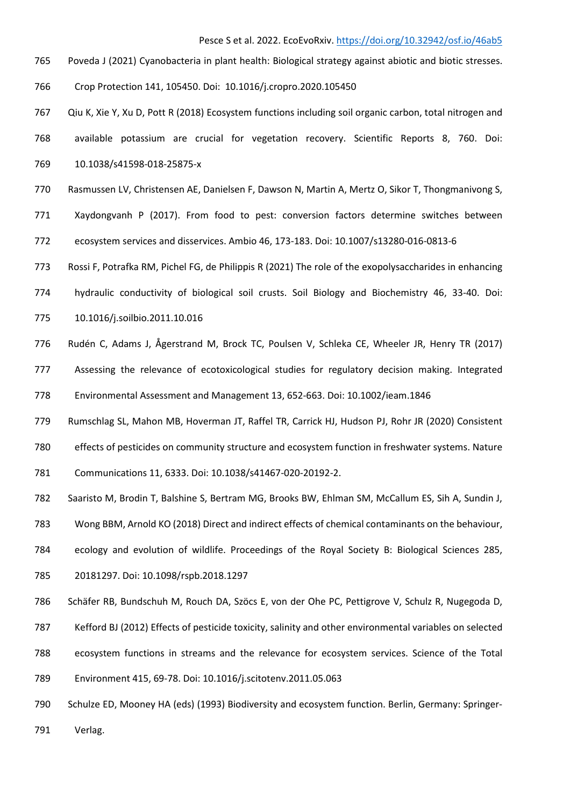765 Poveda J (2021) Cyanobacteria in plant health: Biological strategy against abiotic and biotic stresses.

766 Crop Protection 141, 105450. Doi: 10.1016/j.cropro.2020.105450

- 767 Qiu K, Xie Y, Xu D, Pott R (2018) Ecosystem functions including soil organic carbon, total nitrogen and
- 768 available potassium are crucial for vegetation recovery. Scientific Reports 8, 760. Doi:
- 769 10.1038/s41598-018-25875-x
- 770 Rasmussen LV, Christensen AE, Danielsen F, Dawson N, Martin A, Mertz O, Sikor T, Thongmanivong S,
- 771 Xaydongvanh P (2017). From food to pest: conversion factors determine switches between 772 ecosystem services and disservices. Ambio 46, 173-183. Doi: 10.1007/s13280-016-0813-6
- 773 Rossi F, Potrafka RM, Pichel FG, de Philippis R (2021) The role of the exopolysaccharides in enhancing
- 774 hydraulic conductivity of biological soil crusts. Soil Biology and Biochemistry 46, 33-40. Doi:
- 775 10.1016/j.soilbio.2011.10.016
- 776 Rudén C, Adams J, Ågerstrand M, Brock TC, Poulsen V, Schleka CE, Wheeler JR, Henry TR (2017) 777 Assessing the relevance of ecotoxicological studies for regulatory decision making. Integrated 778 Environmental Assessment and Management 13, 652-663. Doi: 10.1002/ieam.1846
- 779 Rumschlag SL, Mahon MB, Hoverman JT, Raffel TR, Carrick HJ, Hudson PJ, Rohr JR (2020) Consistent
- 780 effects of pesticides on community structure and ecosystem function in freshwater systems. Nature
- 781 Communications 11, 6333. Doi: 10.1038/s41467-020-20192-2.
- 782 Saaristo M, Brodin T, Balshine S, Bertram MG, Brooks BW, Ehlman SM, McCallum ES, Sih A, Sundin J,
- 783 Wong BBM, Arnold KO (2018) Direct and indirect effects of chemical contaminants on the behaviour,
- 784 ecology and evolution of wildlife. Proceedings of the Royal Society B: Biological Sciences 285,
- 785 20181297. Doi: 10.1098/rspb.2018.1297
- 786 Schäfer RB, Bundschuh M, Rouch DA, Szöcs E, von der Ohe PC, Pettigrove V, Schulz R, Nugegoda D,
- 787 Kefford BJ (2012) Effects of pesticide toxicity, salinity and other environmental variables on selected
- 788 ecosystem functions in streams and the relevance for ecosystem services. Science of the Total
- 789 Environment 415, 69-78. Doi: 10.1016/j.scitotenv.2011.05.063
- 790 Schulze ED, Mooney HA (eds) (1993) Biodiversity and ecosystem function. Berlin, Germany: Springer-
- 791 Verlag.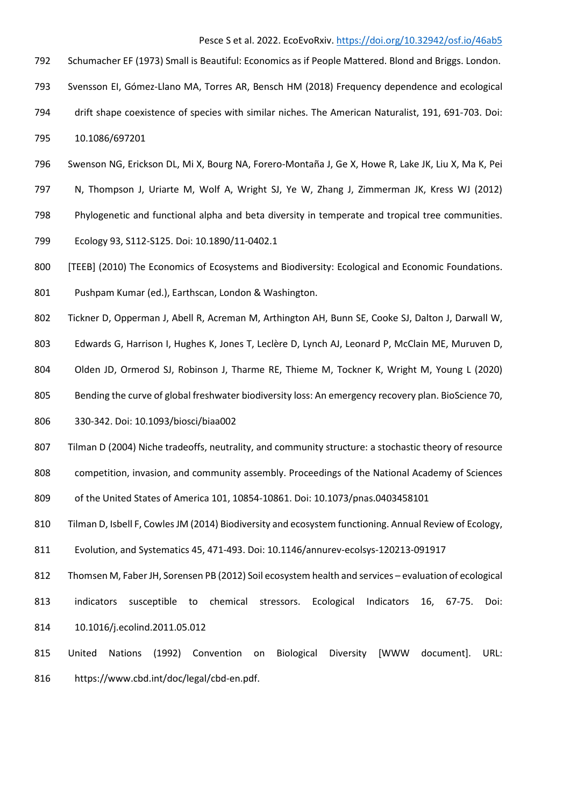- 792 Schumacher EF (1973) Small is Beautiful: Economics as if People Mattered. Blond and Briggs. London.
- 793 Svensson EI, Gómez-Llano MA, Torres AR, Bensch HM (2018) Frequency dependence and ecological
- 794 drift shape coexistence of species with similar niches. The American Naturalist, 191, 691-703. Doi:
- 795 10.1086/697201
- 796 Swenson NG, Erickson DL, Mi X, Bourg NA, Forero-Montaña J, Ge X, Howe R, Lake JK, Liu X, Ma K, Pei
- 797 N, Thompson J, Uriarte M, Wolf A, Wright SJ, Ye W, Zhang J, Zimmerman JK, Kress WJ (2012)
- 798 Phylogenetic and functional alpha and beta diversity in temperate and tropical tree communities.
- 799 Ecology 93, S112-S125. Doi: 10.1890/11-0402.1
- 800 [TEEB] (2010) The Economics of Ecosystems and Biodiversity: Ecological and Economic Foundations.
- 801 Pushpam Kumar (ed.), Earthscan, London & Washington.
- 802 Tickner D, Opperman J, Abell R, Acreman M, Arthington AH, Bunn SE, Cooke SJ, Dalton J, Darwall W,
- 803 Edwards G, Harrison I, Hughes K, Jones T, Leclère D, Lynch AJ, Leonard P, McClain ME, Muruven D,
- 804 Olden JD, Ormerod SJ, Robinson J, Tharme RE, Thieme M, Tockner K, Wright M, Young L (2020)
- 805 Bending the curve of global freshwater biodiversity loss: An emergency recovery plan. BioScience 70,
- 806 330-342. Doi: 10.1093/biosci/biaa002
- 807 Tilman D (2004) Niche tradeoffs, neutrality, and community structure: a stochastic theory of resource
- 808 competition, invasion, and community assembly. Proceedings of the National Academy of Sciences

809 of the United States of America 101, 10854-10861. Doi: 10.1073/pnas.0403458101

- 810 Tilman D, Isbell F, Cowles JM (2014) Biodiversity and ecosystem functioning. Annual Review of Ecology,
- 811 Evolution, and Systematics 45, 471-493. Doi: 10.1146/annurev-ecolsys-120213-091917
- 812 Thomsen M, Faber JH, Sorensen PB (2012) Soil ecosystem health and services evaluation of ecological 813 indicators susceptible to chemical stressors. Ecological Indicators 16, 67-75. Doi: 814 10.1016/j.ecolind.2011.05.012
- 815 United Nations (1992) Convention on Biological Diversity [WWW document]. URL: 816 https://www.cbd.int/doc/legal/cbd-en.pdf.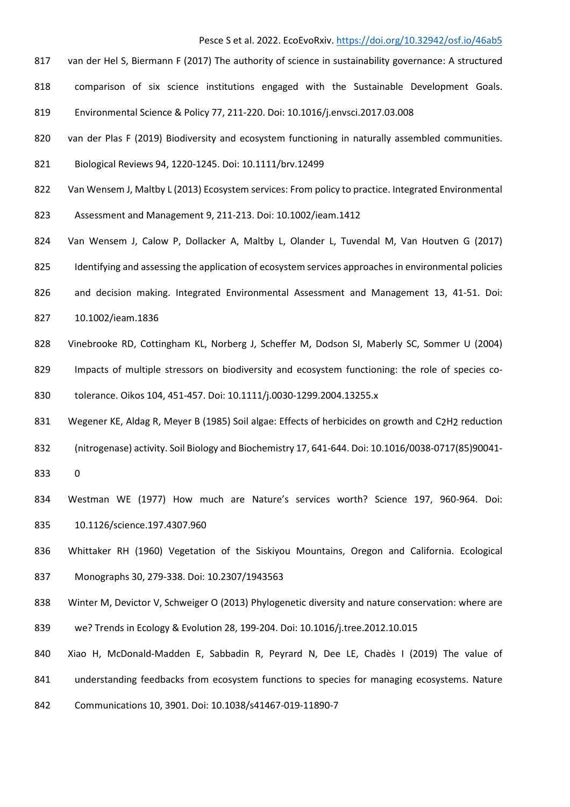- 817 van der Hel S, Biermann F (2017) The authority of science in sustainability governance: A structured
- 818 comparison of six science institutions engaged with the Sustainable Development Goals.
- 819 Environmental Science & Policy 77, 211-220. Doi: 10.1016/j.envsci.2017.03.008
- 820 van der Plas F (2019) Biodiversity and ecosystem functioning in naturally assembled communities.
- 821 Biological Reviews 94, 1220-1245. Doi: 10.1111/brv.12499
- 822 Van Wensem J, Maltby L (2013) Ecosystem services: From policy to practice. Integrated Environmental 823 Assessment and Management 9, 211-213. Doi: 10.1002/ieam.1412
- 824 Van Wensem J, Calow P, Dollacker A, Maltby L, Olander L, Tuvendal M, Van Houtven G (2017) 825 Identifying and assessing the application of ecosystem services approaches in environmental policies 826 and decision making. Integrated Environmental Assessment and Management 13, 41-51. Doi:
- 827 10.1002/ieam.1836
- 828 Vinebrooke RD, Cottingham KL, Norberg J, Scheffer M, Dodson SI, Maberly SC, Sommer U (2004) 829 Impacts of multiple stressors on biodiversity and ecosystem functioning: the role of species co-830 tolerance. Oikos 104, 451-457. Doi: 10.1111/j.0030-1299.2004.13255.x
- 831 Wegener KE, Aldag R, Meyer B (1985) Soil algae: Effects of herbicides on growth and C2H2 reduction
- 832 (nitrogenase) activity. Soil Biology and Biochemistry 17, 641-644. Doi: 10.1016/0038-0717(85)90041-
- 833 0
- 834 Westman WE (1977) How much are Nature's services worth? Science 197, 960-964. Doi: 835 10.1126/science.197.4307.960
- 836 Whittaker RH (1960) Vegetation of the Siskiyou Mountains, Oregon and California. Ecological
- 837 Monographs 30, 279-338. Doi: 10.2307/1943563
- 838 Winter M, Devictor V, Schweiger O (2013) Phylogenetic diversity and nature conservation: where are 839 we? Trends in Ecology & Evolution 28, 199-204. Doi: 10.1016/j.tree.2012.10.015
- 840 Xiao H, McDonald-Madden E, Sabbadin R, Peyrard N, Dee LE, Chadès I (2019) The value of 841 understanding feedbacks from ecosystem functions to species for managing ecosystems. Nature
- 842 Communications 10, 3901. Doi: 10.1038/s41467-019-11890-7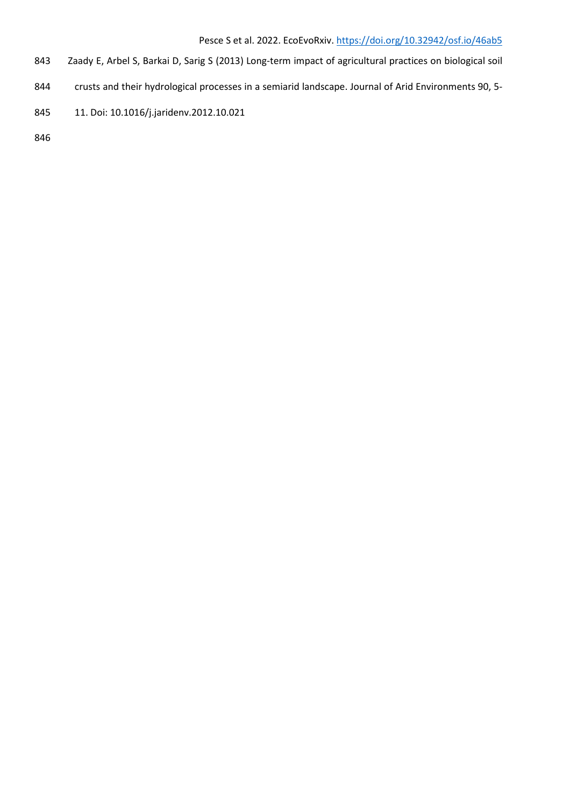- 843 Zaady E, Arbel S, Barkai D, Sarig S (2013) Long-term impact of agricultural practices on biological soil
- 844 crusts and their hydrological processes in a semiarid landscape. Journal of Arid Environments 90, 5-
- 845 11. Doi: 10.1016/j.jaridenv.2012.10.021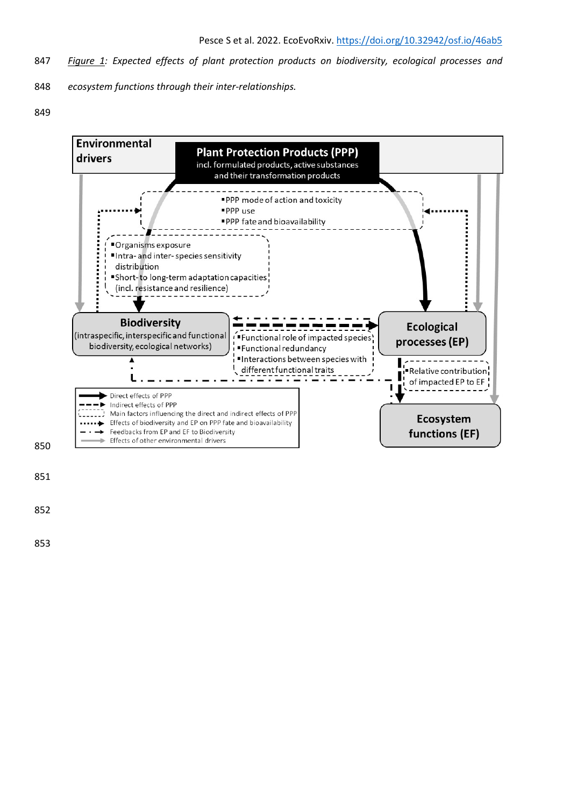- *Figure 1: Expected effects of plant protection products on biodiversity, ecological processes and*
- *ecosystem functions through their inter-relationships.*

# 

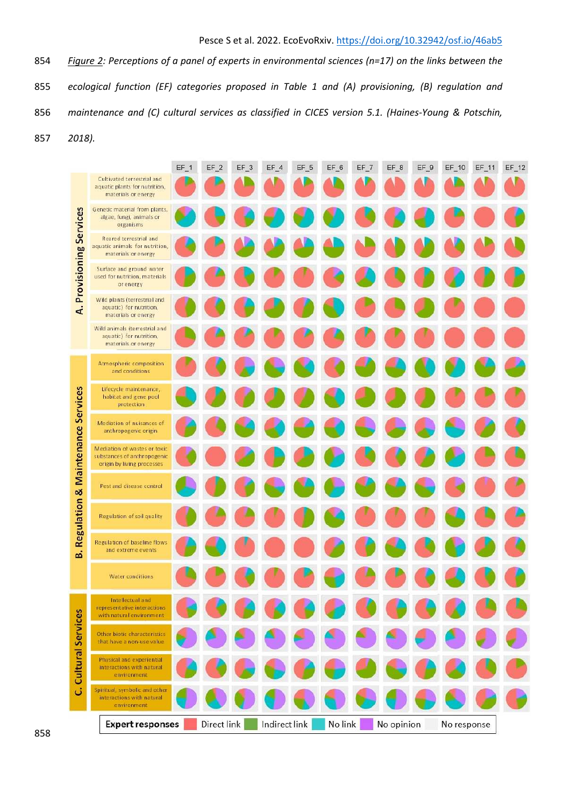*Figure 2: Perceptions of a panel of experts in environmental sciences (n=17) on the links between the ecological function (EF) categories proposed in Table 1 and (A) provisioning, (B) regulation and maintenance and (C) cultural services as classified in CICES version 5.1. (Haines-Young & Potschin,* 



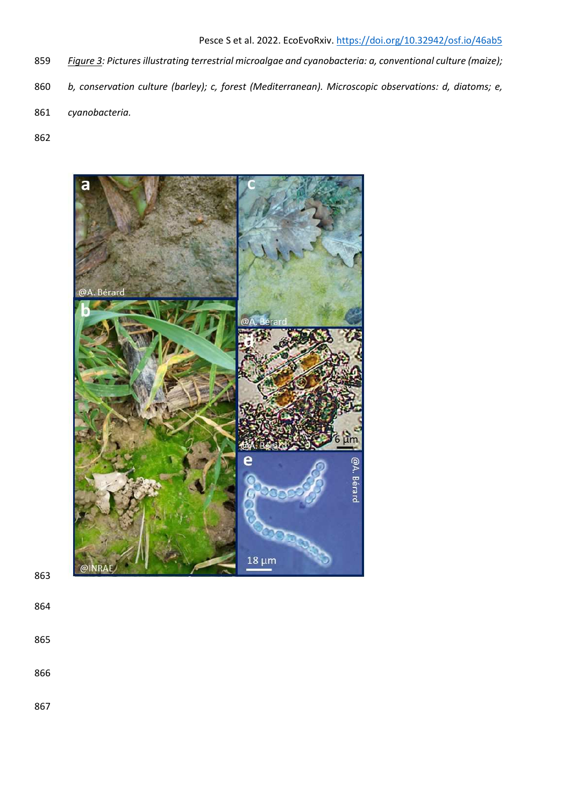- *Figure 3: Pictures illustrating terrestrial microalgae and cyanobacteria: a, conventional culture (maize);*
- *b, conservation culture (barley); c, forest (Mediterranean). Microscopic observations: d, diatoms; e,*
- *cyanobacteria.*